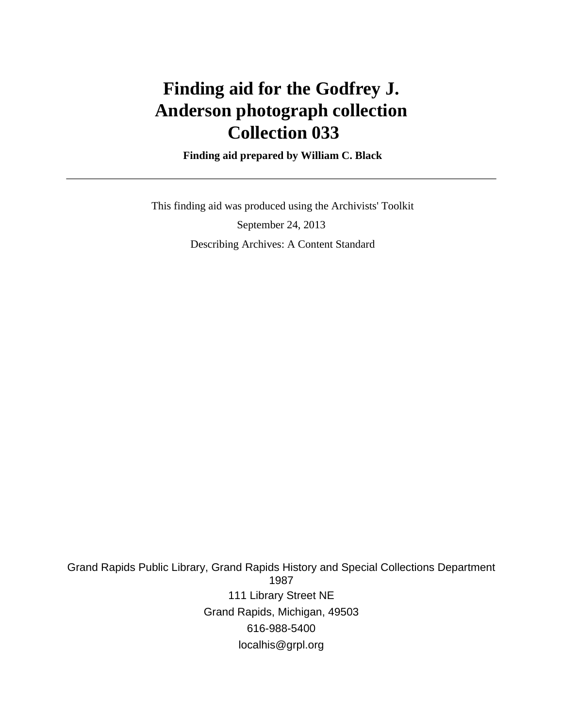# **Finding aid for the Godfrey J. Anderson photograph collection Collection 033**

 **Finding aid prepared by William C. Black**

 This finding aid was produced using the Archivists' Toolkit September 24, 2013 Describing Archives: A Content Standard

Grand Rapids Public Library, Grand Rapids History and Special Collections Department 1987 111 Library Street NE Grand Rapids, Michigan, 49503 616-988-5400 localhis@grpl.org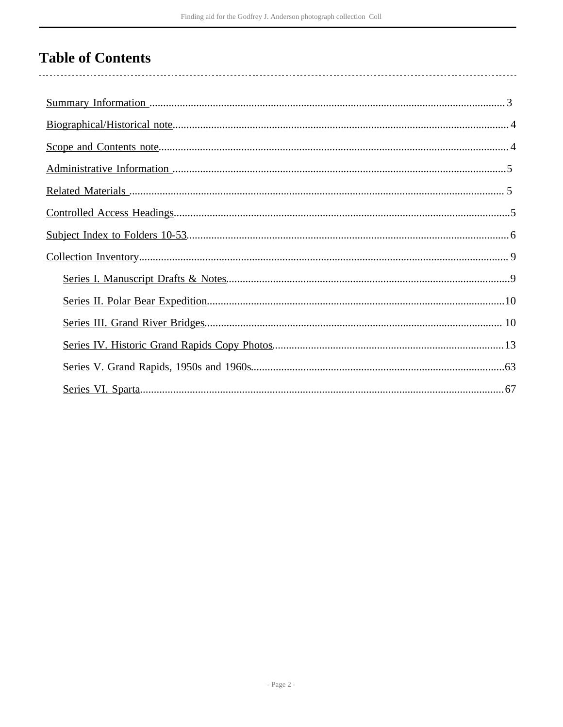# **Table of Contents**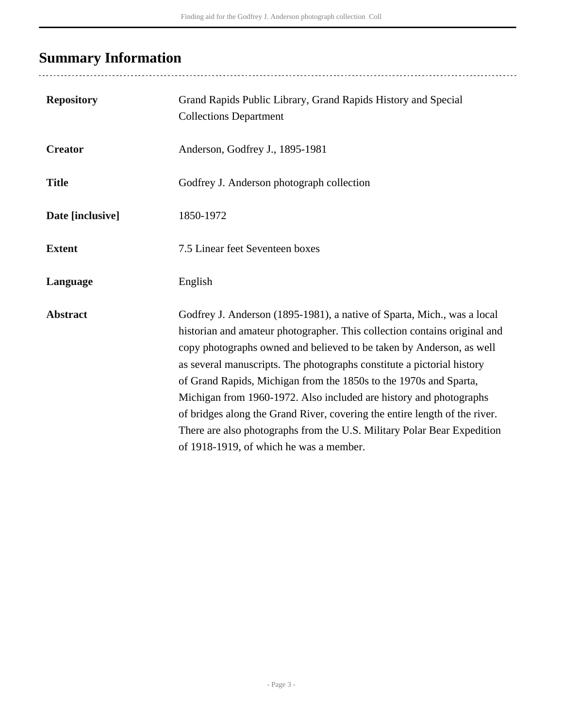# <span id="page-2-0"></span>**Summary Information**

..................................

| <b>Repository</b> | Grand Rapids Public Library, Grand Rapids History and Special<br><b>Collections Department</b>                                                                                                                                                                                                                                                                                                                                                                                                                                                                                                                                                        |
|-------------------|-------------------------------------------------------------------------------------------------------------------------------------------------------------------------------------------------------------------------------------------------------------------------------------------------------------------------------------------------------------------------------------------------------------------------------------------------------------------------------------------------------------------------------------------------------------------------------------------------------------------------------------------------------|
| <b>Creator</b>    | Anderson, Godfrey J., 1895-1981                                                                                                                                                                                                                                                                                                                                                                                                                                                                                                                                                                                                                       |
| <b>Title</b>      | Godfrey J. Anderson photograph collection                                                                                                                                                                                                                                                                                                                                                                                                                                                                                                                                                                                                             |
| Date [inclusive]  | 1850-1972                                                                                                                                                                                                                                                                                                                                                                                                                                                                                                                                                                                                                                             |
| <b>Extent</b>     | 7.5 Linear feet Seventeen boxes                                                                                                                                                                                                                                                                                                                                                                                                                                                                                                                                                                                                                       |
| Language          | English                                                                                                                                                                                                                                                                                                                                                                                                                                                                                                                                                                                                                                               |
| <b>Abstract</b>   | Godfrey J. Anderson (1895-1981), a native of Sparta, Mich., was a local<br>historian and amateur photographer. This collection contains original and<br>copy photographs owned and believed to be taken by Anderson, as well<br>as several manuscripts. The photographs constitute a pictorial history<br>of Grand Rapids, Michigan from the 1850s to the 1970s and Sparta,<br>Michigan from 1960-1972. Also included are history and photographs<br>of bridges along the Grand River, covering the entire length of the river.<br>There are also photographs from the U.S. Military Polar Bear Expedition<br>of 1918-1919, of which he was a member. |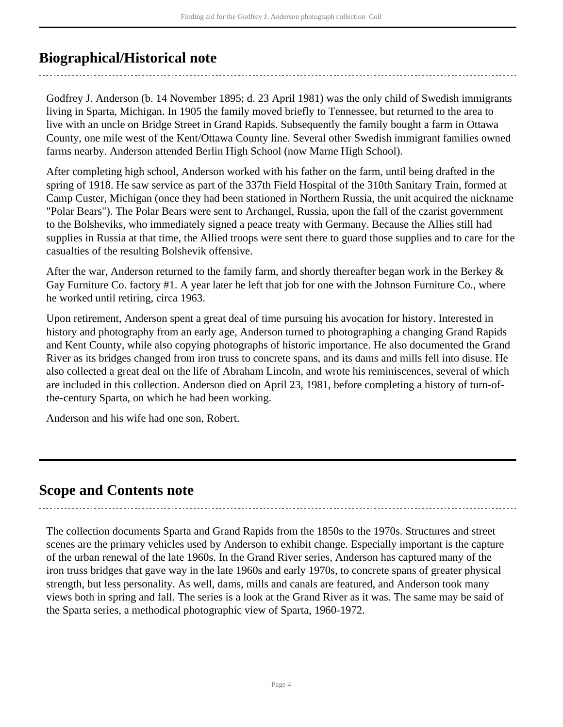# <span id="page-3-0"></span>**Biographical/Historical note**

Godfrey J. Anderson (b. 14 November 1895; d. 23 April 1981) was the only child of Swedish immigrants living in Sparta, Michigan. In 1905 the family moved briefly to Tennessee, but returned to the area to live with an uncle on Bridge Street in Grand Rapids. Subsequently the family bought a farm in Ottawa County, one mile west of the Kent/Ottawa County line. Several other Swedish immigrant families owned farms nearby. Anderson attended Berlin High School (now Marne High School).

After completing high school, Anderson worked with his father on the farm, until being drafted in the spring of 1918. He saw service as part of the 337th Field Hospital of the 310th Sanitary Train, formed at Camp Custer, Michigan (once they had been stationed in Northern Russia, the unit acquired the nickname "Polar Bears"). The Polar Bears were sent to Archangel, Russia, upon the fall of the czarist government to the Bolsheviks, who immediately signed a peace treaty with Germany. Because the Allies still had supplies in Russia at that time, the Allied troops were sent there to guard those supplies and to care for the casualties of the resulting Bolshevik offensive.

After the war, Anderson returned to the family farm, and shortly thereafter began work in the Berkey & Gay Furniture Co. factory #1. A year later he left that job for one with the Johnson Furniture Co., where he worked until retiring, circa 1963.

Upon retirement, Anderson spent a great deal of time pursuing his avocation for history. Interested in history and photography from an early age, Anderson turned to photographing a changing Grand Rapids and Kent County, while also copying photographs of historic importance. He also documented the Grand River as its bridges changed from iron truss to concrete spans, and its dams and mills fell into disuse. He also collected a great deal on the life of Abraham Lincoln, and wrote his reminiscences, several of which are included in this collection. Anderson died on April 23, 1981, before completing a history of turn-ofthe-century Sparta, on which he had been working.

Anderson and his wife had one son, Robert.

# <span id="page-3-1"></span>**Scope and Contents note**

The collection documents Sparta and Grand Rapids from the 1850s to the 1970s. Structures and street scenes are the primary vehicles used by Anderson to exhibit change. Especially important is the capture of the urban renewal of the late 1960s. In the Grand River series, Anderson has captured many of the iron truss bridges that gave way in the late 1960s and early 1970s, to concrete spans of greater physical strength, but less personality. As well, dams, mills and canals are featured, and Anderson took many views both in spring and fall. The series is a look at the Grand River as it was. The same may be said of the Sparta series, a methodical photographic view of Sparta, 1960-1972.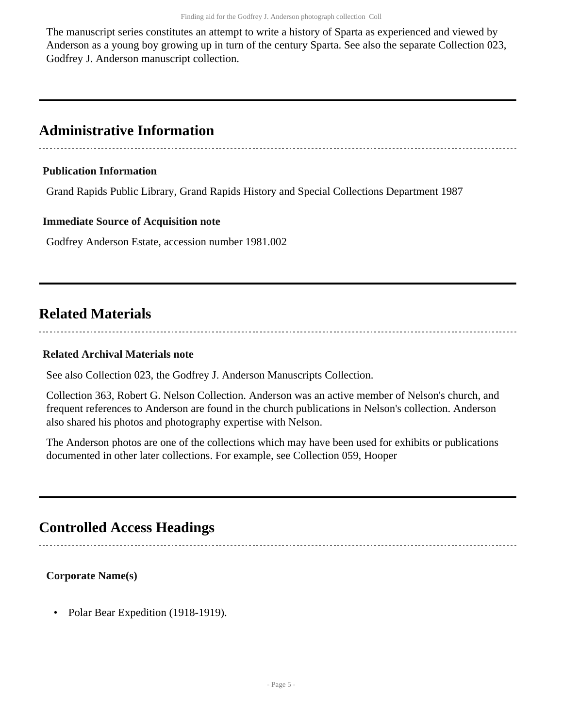The manuscript series constitutes an attempt to write a history of Sparta as experienced and viewed by Anderson as a young boy growing up in turn of the century Sparta. See also the separate Collection 023, Godfrey J. Anderson manuscript collection.

# <span id="page-4-0"></span>**Administrative Information**

## **Publication Information**

Grand Rapids Public Library, Grand Rapids History and Special Collections Department 1987

### **Immediate Source of Acquisition note**

Godfrey Anderson Estate, accession number 1981.002

# <span id="page-4-1"></span>**Related Materials**

### **Related Archival Materials note**

See also Collection 023, the Godfrey J. Anderson Manuscripts Collection.

Collection 363, Robert G. Nelson Collection. Anderson was an active member of Nelson's church, and frequent references to Anderson are found in the church publications in Nelson's collection. Anderson also shared his photos and photography expertise with Nelson.

The Anderson photos are one of the collections which may have been used for exhibits or publications documented in other later collections. For example, see Collection 059, Hooper

# <span id="page-4-2"></span>**Controlled Access Headings**

**Corporate Name(s)**

• Polar Bear Expedition (1918-1919).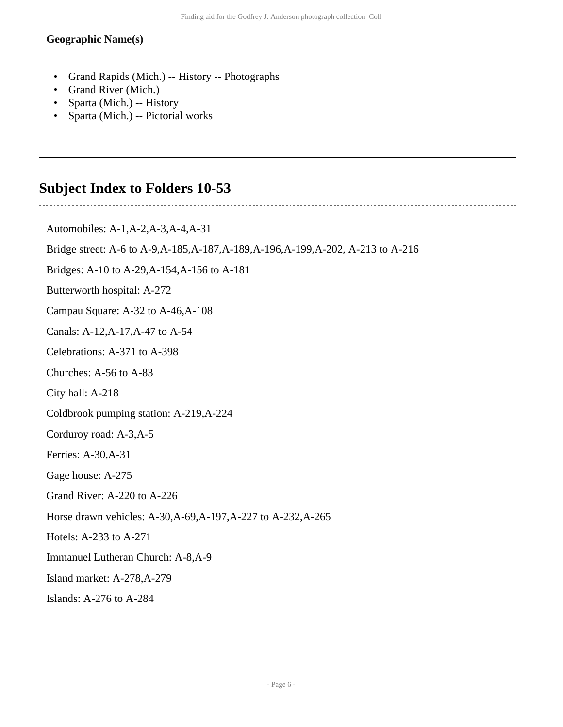#### **Geographic Name(s)**

- Grand Rapids (Mich.) -- History -- Photographs
- Grand River (Mich.)
- Sparta (Mich.) -- History
- Sparta (Mich.) -- Pictorial works

# <span id="page-5-0"></span>**Subject Index to Folders 10-53**

Automobiles: A-1,A-2,A-3,A-4,A-31 Bridge street: A-6 to A-9,A-185,A-187,A-189,A-196,A-199,A-202, A-213 to A-216 Bridges: A-10 to A-29,A-154,A-156 to A-181 Butterworth hospital: A-272 Campau Square: A-32 to A-46,A-108 Canals: A-12,A-17,A-47 to A-54 Celebrations: A-371 to A-398 Churches: A-56 to A-83 City hall: A-218 Coldbrook pumping station: A-219,A-224 Corduroy road: A-3,A-5 Ferries: A-30,A-31 Gage house: A-275 Grand River: A-220 to A-226 Horse drawn vehicles: A-30,A-69,A-197,A-227 to A-232,A-265 Hotels: A-233 to A-271 Immanuel Lutheran Church: A-8,A-9 Island market: A-278,A-279 Islands: A-276 to A-284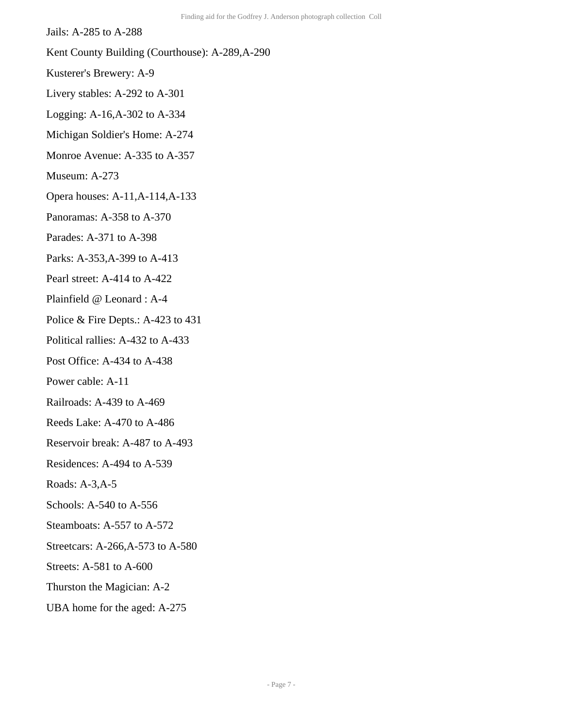Jails: A-285 to A-288

- Kent County Building (Courthouse): A-289,A-290
- Kusterer's Brewery: A-9
- Livery stables: A-292 to A-301
- Logging: A-16,A-302 to A-334
- Michigan Soldier's Home: A-274
- Monroe Avenue: A-335 to A-357
- Museum: A-273
- Opera houses: A-11,A-114,A-133
- Panoramas: A-358 to A-370
- Parades: A-371 to A-398
- Parks: A-353,A-399 to A-413
- Pearl street: A-414 to A-422
- Plainfield @ Leonard : A-4
- Police & Fire Depts.: A-423 to 431
- Political rallies: A-432 to A-433
- Post Office: A-434 to A-438
- Power cable: A-11
- Railroads: A-439 to A-469
- Reeds Lake: A-470 to A-486
- Reservoir break: A-487 to A-493
- Residences: A-494 to A-539
- Roads: A-3,A-5
- Schools: A-540 to A-556
- Steamboats: A-557 to A-572
- Streetcars: A-266,A-573 to A-580
- Streets: A-581 to A-600
- Thurston the Magician: A-2
- UBA home for the aged: A-275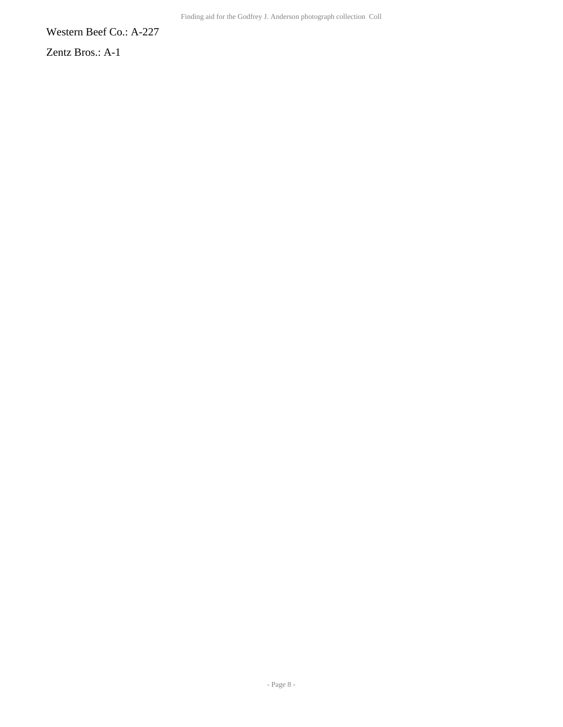Western Beef Co.: A-227

Zentz Bros.: A-1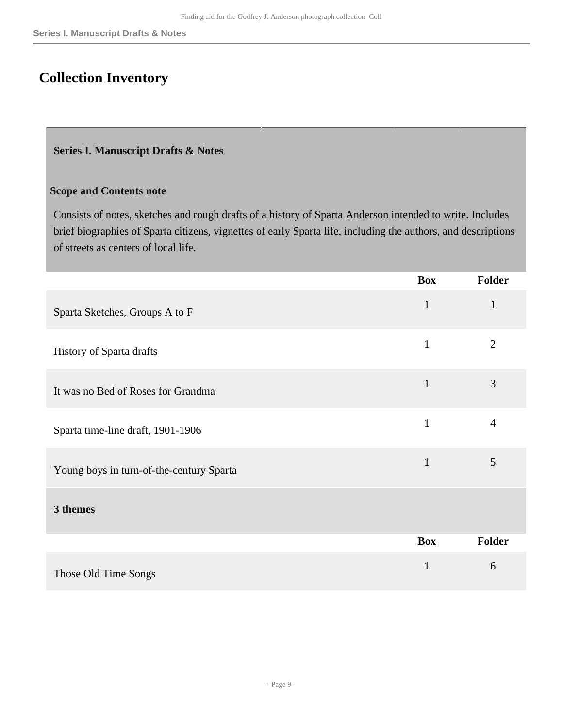# <span id="page-8-0"></span>**Collection Inventory**

#### <span id="page-8-1"></span>**Series I. Manuscript Drafts & Notes**

### **Scope and Contents note**

Consists of notes, sketches and rough drafts of a history of Sparta Anderson intended to write. Includes brief biographies of Sparta citizens, vignettes of early Sparta life, including the authors, and descriptions of streets as centers of local life.

|                                          | <b>Box</b>   | <b>Folder</b>  |
|------------------------------------------|--------------|----------------|
| Sparta Sketches, Groups A to F           | $\mathbf{1}$ | $\mathbf{1}$   |
| History of Sparta drafts                 | $\mathbf{1}$ | $\overline{2}$ |
| It was no Bed of Roses for Grandma       | $\mathbf{1}$ | 3              |
| Sparta time-line draft, 1901-1906        | $\mathbf{1}$ | $\overline{4}$ |
| Young boys in turn-of-the-century Sparta | $\mathbf{1}$ | 5              |
| 3 themes                                 |              |                |
|                                          | <b>Box</b>   | Folder         |
| Those Old Time Songs                     | $\mathbf{1}$ | 6              |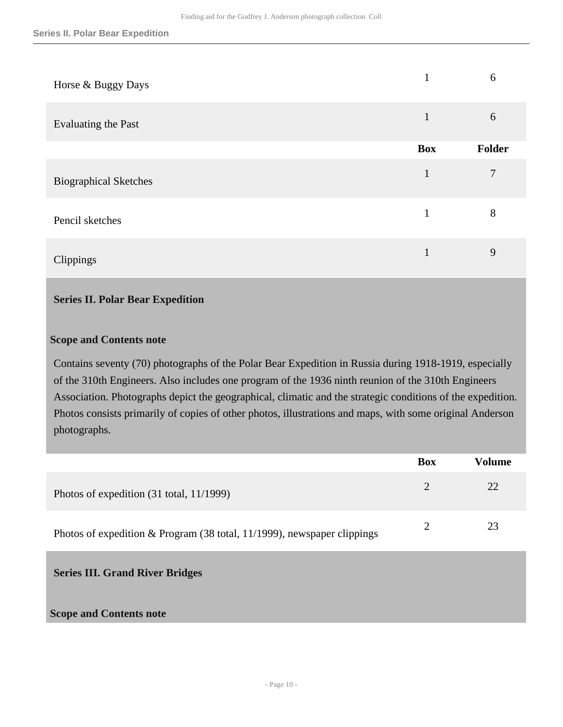| Horse & Buggy Days           | 1            | 6      |
|------------------------------|--------------|--------|
| Evaluating the Past          | $\mathbf{1}$ | 6      |
|                              | <b>Box</b>   | Folder |
| <b>Biographical Sketches</b> | 1            | 7      |
| Pencil sketches              | 1            | 8      |
| Clippings                    |              | 9      |

#### <span id="page-9-0"></span>**Series II. Polar Bear Expedition**

#### **Scope and Contents note**

Contains seventy (70) photographs of the Polar Bear Expedition in Russia during 1918-1919, especially of the 310th Engineers. Also includes one program of the 1936 ninth reunion of the 310th Engineers Association. Photographs depict the geographical, climatic and the strategic conditions of the expedition. Photos consists primarily of copies of other photos, illustrations and maps, with some original Anderson photographs.

|                                                                           | Box | Volume |
|---------------------------------------------------------------------------|-----|--------|
| Photos of expedition (31 total, 11/1999)                                  |     | 22     |
| Photos of expedition $& Program(38 total, 11/1999)$ , newspaper clippings |     | 23     |

<span id="page-9-1"></span>**Series III. Grand River Bridges** 

#### **Scope and Contents note**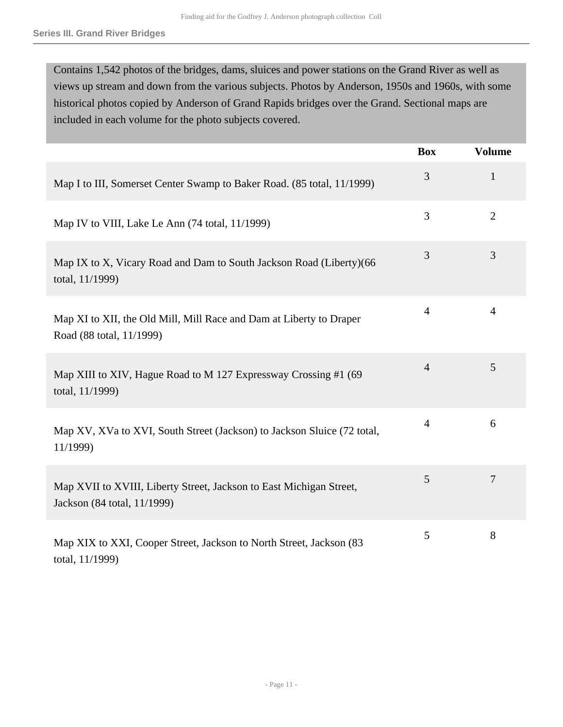Contains 1,542 photos of the bridges, dams, sluices and power stations on the Grand River as well as views up stream and down from the various subjects. Photos by Anderson, 1950s and 1960s, with some historical photos copied by Anderson of Grand Rapids bridges over the Grand. Sectional maps are included in each volume for the photo subjects covered.

|                                                                                                    | <b>Box</b>     | <b>Volume</b>  |
|----------------------------------------------------------------------------------------------------|----------------|----------------|
| Map I to III, Somerset Center Swamp to Baker Road. (85 total, 11/1999)                             | 3              | $\mathbf{1}$   |
| Map IV to VIII, Lake Le Ann (74 total, 11/1999)                                                    | 3              | $\overline{2}$ |
| Map IX to X, Vicary Road and Dam to South Jackson Road (Liberty)(66<br>total, 11/1999)             | 3              | 3              |
| Map XI to XII, the Old Mill, Mill Race and Dam at Liberty to Draper<br>Road (88 total, 11/1999)    | $\overline{4}$ | 4              |
| Map XIII to XIV, Hague Road to M 127 Expressway Crossing #1 (69<br>total, 11/1999)                 | $\overline{4}$ | 5              |
| Map XV, XVa to XVI, South Street (Jackson) to Jackson Sluice (72 total,<br>11/1999)                | $\overline{4}$ | 6              |
| Map XVII to XVIII, Liberty Street, Jackson to East Michigan Street,<br>Jackson (84 total, 11/1999) | 5              | 7              |
| Map XIX to XXI, Cooper Street, Jackson to North Street, Jackson (83)<br>total, 11/1999)            | 5              | 8              |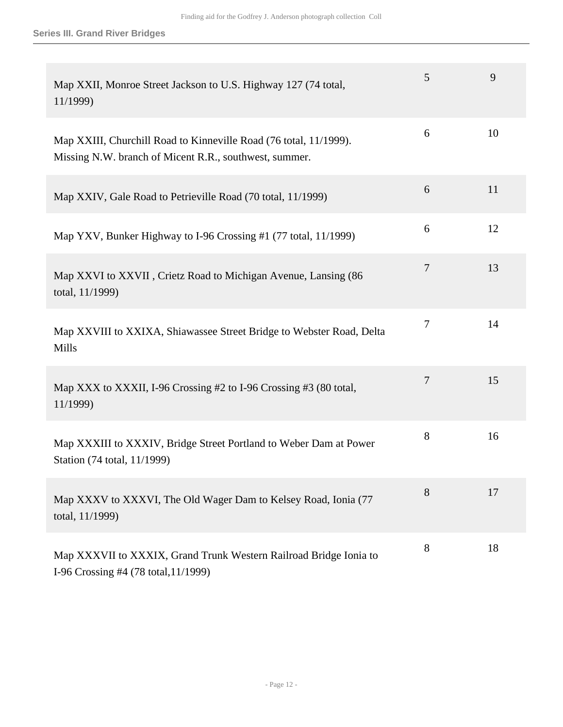| Map XXII, Monroe Street Jackson to U.S. Highway 127 (74 total,<br>11/1999)                                                  | 5 | 9  |
|-----------------------------------------------------------------------------------------------------------------------------|---|----|
| Map XXIII, Churchill Road to Kinneville Road (76 total, 11/1999).<br>Missing N.W. branch of Micent R.R., southwest, summer. | 6 | 10 |
| Map XXIV, Gale Road to Petrieville Road (70 total, 11/1999)                                                                 | 6 | 11 |
| Map YXV, Bunker Highway to I-96 Crossing #1 (77 total, 11/1999)                                                             | 6 | 12 |
| Map XXVI to XXVII, Crietz Road to Michigan Avenue, Lansing (86<br>total, 11/1999)                                           | 7 | 13 |
| Map XXVIII to XXIXA, Shiawassee Street Bridge to Webster Road, Delta<br>Mills                                               | 7 | 14 |
| Map XXX to XXXII, I-96 Crossing #2 to I-96 Crossing #3 (80 total,<br>11/1999)                                               | 7 | 15 |
| Map XXXIII to XXXIV, Bridge Street Portland to Weber Dam at Power<br>Station (74 total, 11/1999)                            | 8 | 16 |
| Map XXXV to XXXVI, The Old Wager Dam to Kelsey Road, Ionia (77<br>total, 11/1999)                                           | 8 | 17 |
| Map XXXVII to XXXIX, Grand Trunk Western Railroad Bridge Ionia to<br>I-96 Crossing #4 (78 total, 11/1999)                   | 8 | 18 |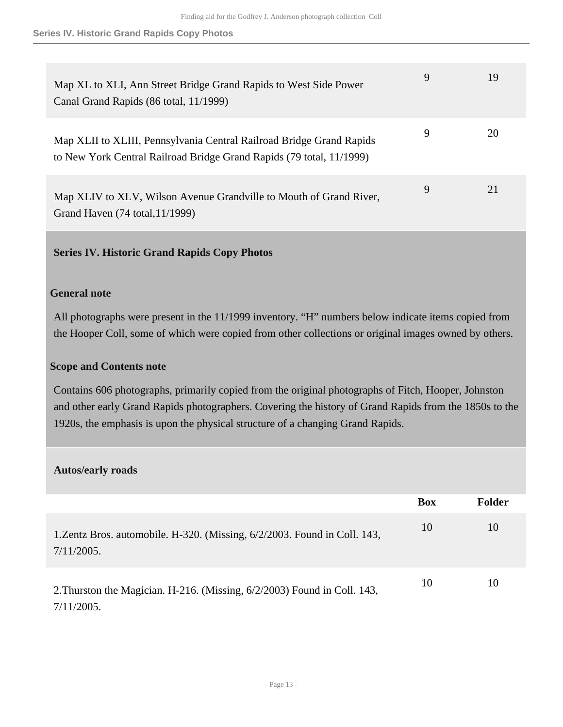**Series IV. Historic Grand Rapids Copy Photos**

| Map XL to XLI, Ann Street Bridge Grand Rapids to West Side Power<br>Canal Grand Rapids (86 total, 11/1999)                                   | 9           | 19  |
|----------------------------------------------------------------------------------------------------------------------------------------------|-------------|-----|
| Map XLII to XLIII, Pennsylvania Central Railroad Bridge Grand Rapids<br>to New York Central Railroad Bridge Grand Rapids (79 total, 11/1999) | 9           | 20  |
| Map XLIV to XLV, Wilson Avenue Grandville to Mouth of Grand River,<br>Grand Haven (74 total, 11/1999)                                        | $\mathbf Q$ | 2.1 |

#### <span id="page-12-0"></span>**Series IV. Historic Grand Rapids Copy Photos**

#### **General note**

All photographs were present in the 11/1999 inventory. "H" numbers below indicate items copied from the Hooper Coll, some of which were copied from other collections or original images owned by others.

#### **Scope and Contents note**

Contains 606 photographs, primarily copied from the original photographs of Fitch, Hooper, Johnston and other early Grand Rapids photographers. Covering the history of Grand Rapids from the 1850s to the 1920s, the emphasis is upon the physical structure of a changing Grand Rapids.

#### **Autos/early roads**

|                                                                                            | <b>Box</b> | <b>Folder</b> |
|--------------------------------------------------------------------------------------------|------------|---------------|
| 1. Zentz Bros. automobile. H-320. (Missing, 6/2/2003. Found in Coll. 143,<br>$7/11/2005$ . | 10         | 10            |
| 2. Thurston the Magician. H-216. (Missing, 6/2/2003) Found in Coll. 143,<br>$7/11/2005$ .  | 10         | 10            |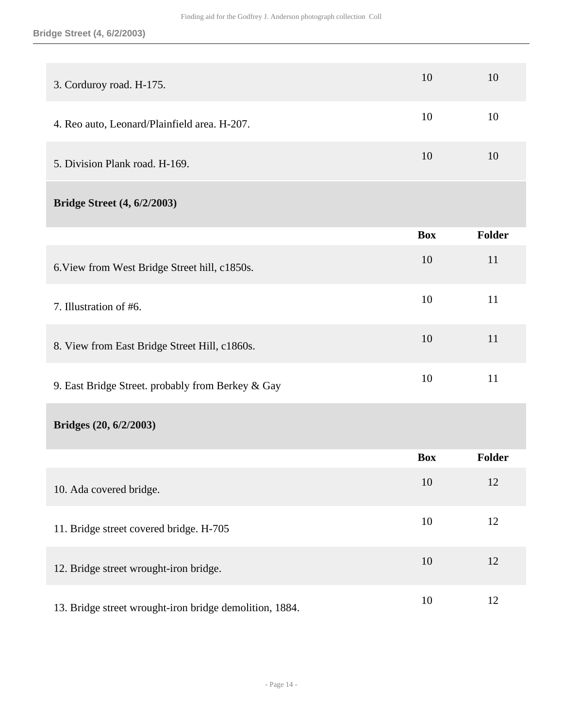#### **Bridge Street (4, 6/2/2003)**

| 3. Corduroy road. H-175.                                | 10         | 10            |
|---------------------------------------------------------|------------|---------------|
| 4. Reo auto, Leonard/Plainfield area. H-207.            | 10         | 10            |
| 5. Division Plank road. H-169.                          | 10         | 10            |
| <b>Bridge Street (4, 6/2/2003)</b>                      |            |               |
|                                                         | <b>Box</b> | <b>Folder</b> |
| 6. View from West Bridge Street hill, c1850s.           | 10         | 11            |
| 7. Illustration of #6.                                  | 10         | 11            |
| 8. View from East Bridge Street Hill, c1860s.           | 10         | 11            |
| 9. East Bridge Street. probably from Berkey & Gay       | 10         | 11            |
| Bridges (20, 6/2/2003)                                  |            |               |
|                                                         | <b>Box</b> | <b>Folder</b> |
| 10. Ada covered bridge.                                 | 10         | 12            |
| 11. Bridge street covered bridge. H-705                 | 10         | 12            |
| 12. Bridge street wrought-iron bridge.                  | 10         | 12            |
| 13. Bridge street wrought-iron bridge demolition, 1884. | 10         | 12            |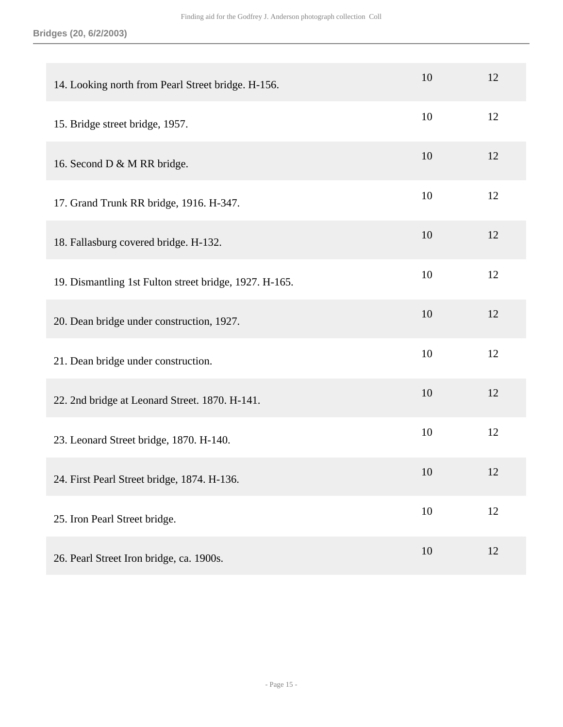| 14. Looking north from Pearl Street bridge. H-156.     | 10 | 12 |
|--------------------------------------------------------|----|----|
| 15. Bridge street bridge, 1957.                        | 10 | 12 |
| 16. Second D & M RR bridge.                            | 10 | 12 |
| 17. Grand Trunk RR bridge, 1916. H-347.                | 10 | 12 |
| 18. Fallasburg covered bridge. H-132.                  | 10 | 12 |
| 19. Dismantling 1st Fulton street bridge, 1927. H-165. | 10 | 12 |
| 20. Dean bridge under construction, 1927.              | 10 | 12 |
| 21. Dean bridge under construction.                    | 10 | 12 |
| 22. 2nd bridge at Leonard Street. 1870. H-141.         | 10 | 12 |
| 23. Leonard Street bridge, 1870. H-140.                | 10 | 12 |
| 24. First Pearl Street bridge, 1874. H-136.            | 10 | 12 |
| 25. Iron Pearl Street bridge.                          | 10 | 12 |
| 26. Pearl Street Iron bridge, ca. 1900s.               | 10 | 12 |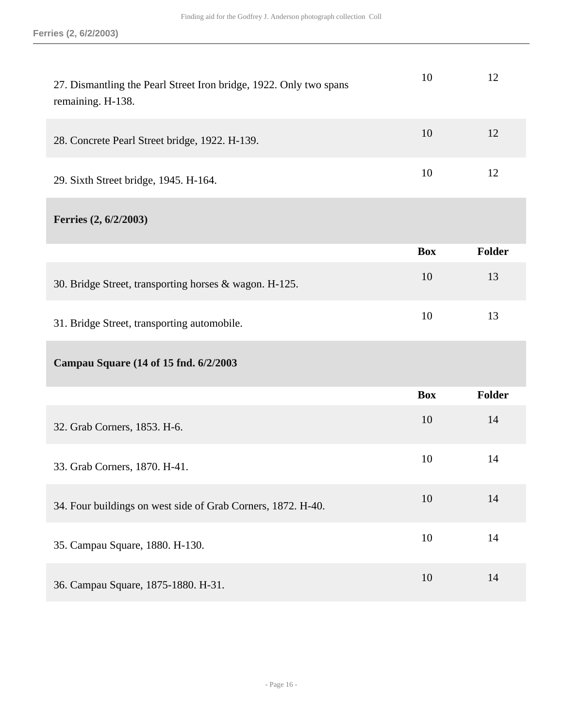| 27. Dismantling the Pearl Street Iron bridge, 1922. Only two spans<br>remaining. H-138. | 10         | 12            |
|-----------------------------------------------------------------------------------------|------------|---------------|
| 28. Concrete Pearl Street bridge, 1922. H-139.                                          | 10         | 12            |
| 29. Sixth Street bridge, 1945. H-164.                                                   | 10         | 12            |
| Ferries (2, 6/2/2003)                                                                   |            |               |
|                                                                                         | <b>Box</b> | Folder        |
| 30. Bridge Street, transporting horses & wagon. H-125.                                  | 10         | 13            |
| 31. Bridge Street, transporting automobile.                                             | 10         | 13            |
| Campau Square (14 of 15 fnd. 6/2/2003                                                   |            |               |
|                                                                                         | <b>Box</b> | <b>Folder</b> |
| 32. Grab Corners, 1853. H-6.                                                            | 10         | 14            |
| 33. Grab Corners, 1870. H-41.                                                           | 10         | 14            |
| 34. Four buildings on west side of Grab Corners, 1872. H-40.                            | 10         | 14            |
| 35. Campau Square, 1880. H-130.                                                         | 10         | 14            |
| 36. Campau Square, 1875-1880. H-31.                                                     | 10         | 14            |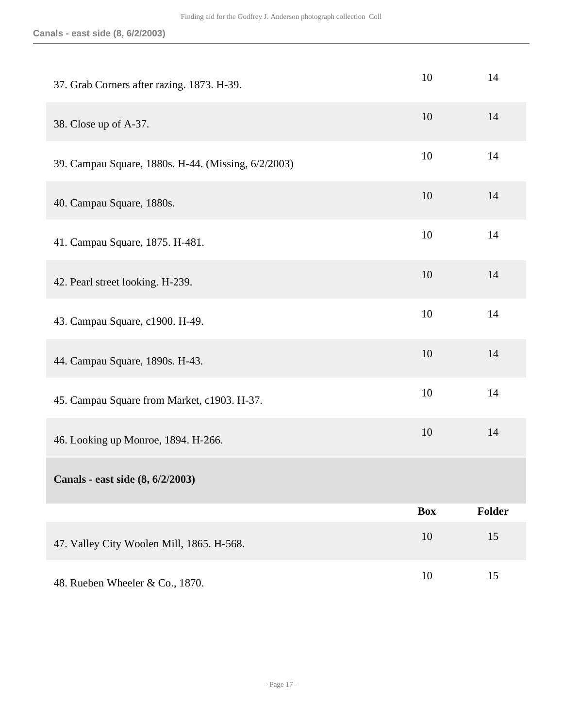| 37. Grab Corners after razing. 1873. H-39.          | 10         | 14            |
|-----------------------------------------------------|------------|---------------|
| 38. Close up of A-37.                               | 10         | 14            |
| 39. Campau Square, 1880s. H-44. (Missing, 6/2/2003) | 10         | 14            |
| 40. Campau Square, 1880s.                           | 10         | 14            |
| 41. Campau Square, 1875. H-481.                     | 10         | 14            |
| 42. Pearl street looking. H-239.                    | 10         | 14            |
| 43. Campau Square, c1900. H-49.                     | 10         | 14            |
| 44. Campau Square, 1890s. H-43.                     | 10         | 14            |
| 45. Campau Square from Market, c1903. H-37.         | 10         | 14            |
| 46. Looking up Monroe, 1894. H-266.                 | 10         | 14            |
| Canals - east side (8, 6/2/2003)                    |            |               |
|                                                     | <b>Box</b> | <b>Folder</b> |
| 47. Valley City Woolen Mill, 1865. H-568.           | 10         | 15            |
| 48. Rueben Wheeler & Co., 1870.                     | $10\,$     | 15            |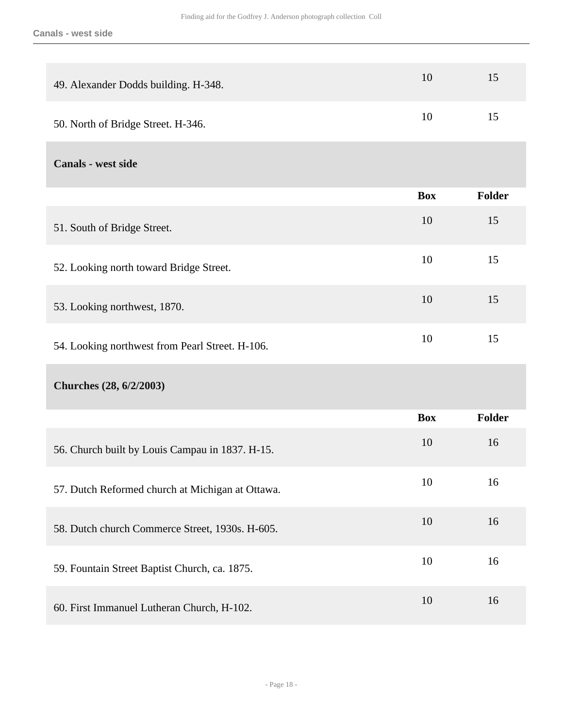| 49. Alexander Dodds building. H-348.             | 10         | 15            |
|--------------------------------------------------|------------|---------------|
| 50. North of Bridge Street. H-346.               | 10         | 15            |
| Canals - west side                               |            |               |
|                                                  | <b>Box</b> | Folder        |
| 51. South of Bridge Street.                      | 10         | 15            |
| 52. Looking north toward Bridge Street.          | 10         | 15            |
| 53. Looking northwest, 1870.                     | 10         | 15            |
| 54. Looking northwest from Pearl Street. H-106.  | 10         | 15            |
| Churches (28, 6/2/2003)                          |            |               |
|                                                  | <b>Box</b> | <b>Folder</b> |
| 56. Church built by Louis Campau in 1837. H-15.  | 10         | 16            |
| 57. Dutch Reformed church at Michigan at Ottawa. | 10         | 16            |
| 58. Dutch church Commerce Street, 1930s. H-605.  | 10         | 16            |
| 59. Fountain Street Baptist Church, ca. 1875.    | 10         | 16            |
| 60. First Immanuel Lutheran Church, H-102.       | 10         | 16            |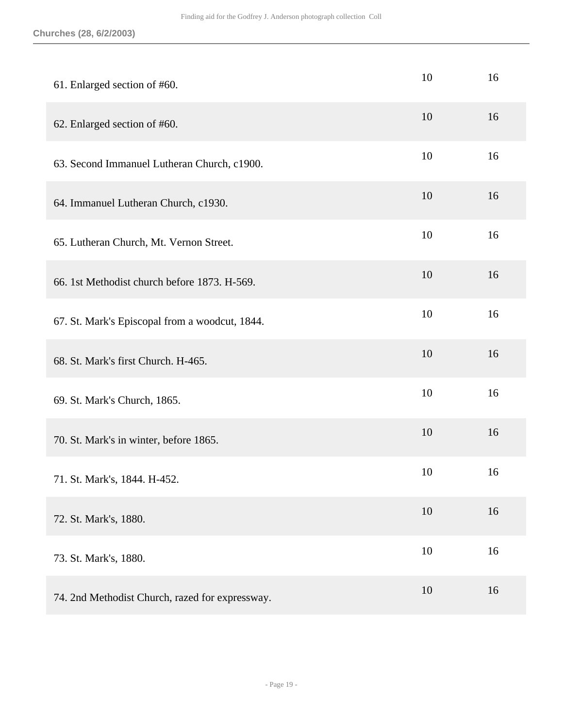#### **Churches (28, 6/2/2003)**

| 61. Enlarged section of #60.                    | 10 | 16 |
|-------------------------------------------------|----|----|
| 62. Enlarged section of #60.                    | 10 | 16 |
| 63. Second Immanuel Lutheran Church, c1900.     | 10 | 16 |
| 64. Immanuel Lutheran Church, c1930.            | 10 | 16 |
| 65. Lutheran Church, Mt. Vernon Street.         | 10 | 16 |
| 66. 1st Methodist church before 1873. H-569.    | 10 | 16 |
| 67. St. Mark's Episcopal from a woodcut, 1844.  | 10 | 16 |
| 68. St. Mark's first Church. H-465.             | 10 | 16 |
| 69. St. Mark's Church, 1865.                    | 10 | 16 |
| 70. St. Mark's in winter, before 1865.          | 10 | 16 |
| 71. St. Mark's, 1844. H-452.                    | 10 | 16 |
| 72. St. Mark's, 1880.                           | 10 | 16 |
| 73. St. Mark's, 1880.                           | 10 | 16 |
| 74. 2nd Methodist Church, razed for expressway. | 10 | 16 |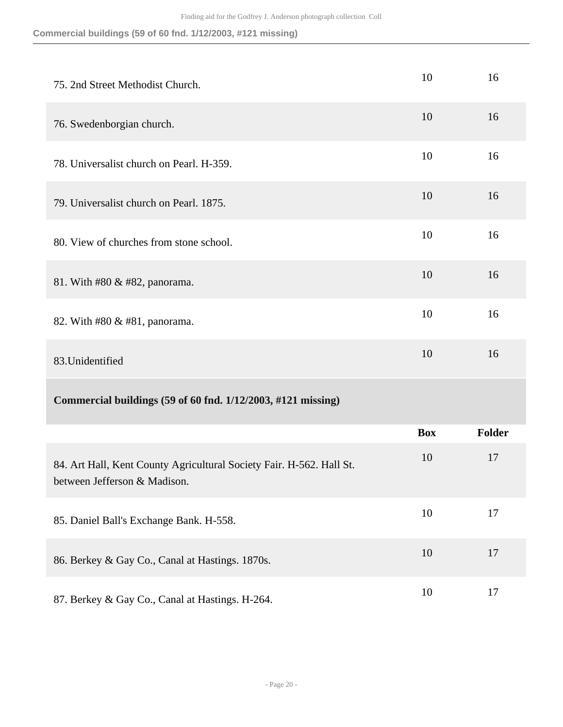**Commercial buildings (59 of 60 fnd. 1/12/2003, #121 missing)**

| 75. 2nd Street Methodist Church.                                                                     | 10         | 16     |
|------------------------------------------------------------------------------------------------------|------------|--------|
| 76. Swedenborgian church.                                                                            | 10         | 16     |
| 78. Universalist church on Pearl. H-359.                                                             | 10         | 16     |
| 79. Universalist church on Pearl. 1875.                                                              | 10         | 16     |
| 80. View of churches from stone school.                                                              | 10         | 16     |
| 81. With #80 & #82, panorama.                                                                        | 10         | 16     |
| 82. With #80 & #81, panorama.                                                                        | 10         | 16     |
| 83. Unidentified                                                                                     | 10         | 16     |
| Commercial buildings (59 of 60 fnd. 1/12/2003, #121 missing)                                         |            |        |
|                                                                                                      | <b>Box</b> | Folder |
| 84. Art Hall, Kent County Agricultural Society Fair. H-562. Hall St.<br>between Jefferson & Madison. | 10         | 17     |
| 85. Daniel Ball's Exchange Bank. H-558.                                                              | 10         | 17     |
| 86. Berkey & Gay Co., Canal at Hastings. 1870s.                                                      | 10         | 17     |
| 87. Berkey & Gay Co., Canal at Hastings. H-264.                                                      | 10         | 17     |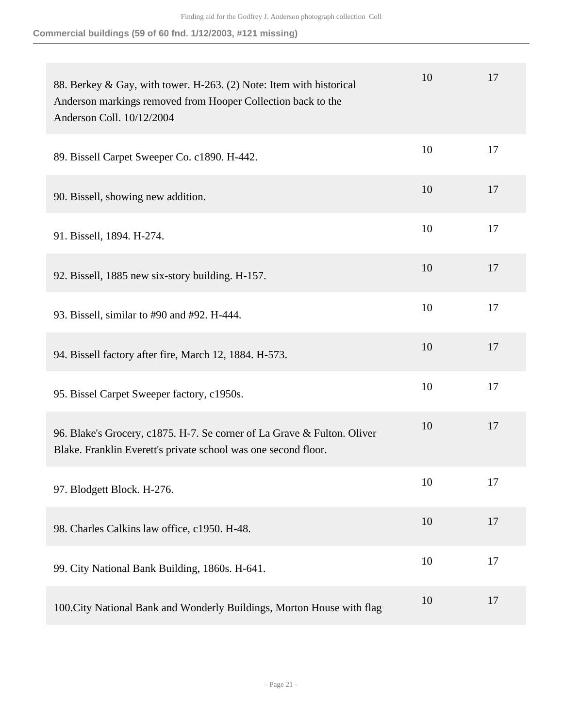**Commercial buildings (59 of 60 fnd. 1/12/2003, #121 missing)**

| 88. Berkey & Gay, with tower. H-263. (2) Note: Item with historical<br>Anderson markings removed from Hooper Collection back to the<br>Anderson Coll. 10/12/2004 | 10 | 17 |
|------------------------------------------------------------------------------------------------------------------------------------------------------------------|----|----|
| 89. Bissell Carpet Sweeper Co. c1890. H-442.                                                                                                                     | 10 | 17 |
| 90. Bissell, showing new addition.                                                                                                                               | 10 | 17 |
| 91. Bissell, 1894. H-274.                                                                                                                                        | 10 | 17 |
| 92. Bissell, 1885 new six-story building. H-157.                                                                                                                 | 10 | 17 |
| 93. Bissell, similar to #90 and #92. H-444.                                                                                                                      | 10 | 17 |
| 94. Bissell factory after fire, March 12, 1884. H-573.                                                                                                           | 10 | 17 |
| 95. Bissel Carpet Sweeper factory, c1950s.                                                                                                                       | 10 | 17 |
| 96. Blake's Grocery, c1875. H-7. Se corner of La Grave & Fulton. Oliver<br>Blake. Franklin Everett's private school was one second floor.                        | 10 | 17 |
| 97. Blodgett Block. H-276.                                                                                                                                       | 10 | 17 |
| 98. Charles Calkins law office, c1950. H-48.                                                                                                                     | 10 | 17 |
| 99. City National Bank Building, 1860s. H-641.                                                                                                                   | 10 | 17 |
| 100. City National Bank and Wonderly Buildings, Morton House with flag                                                                                           | 10 | 17 |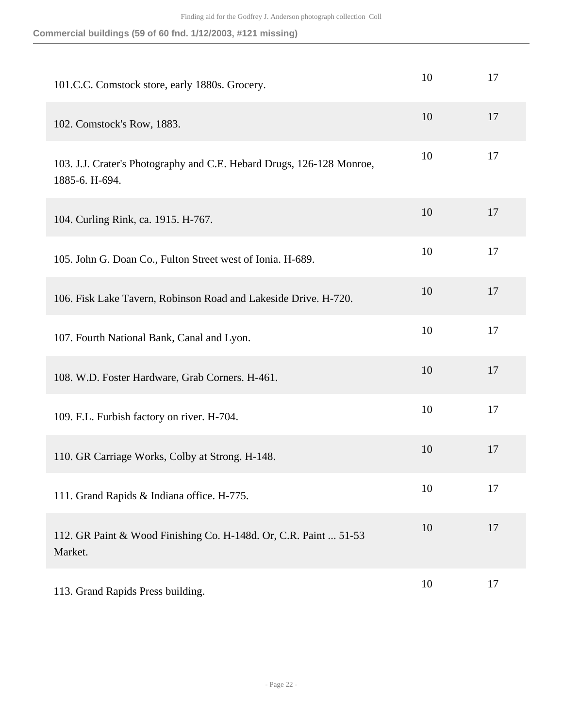| Commercial buildings (59 of 60 fnd. 1/12/2003, #121 missing) |  |  |  |
|--------------------------------------------------------------|--|--|--|
|                                                              |  |  |  |

| 101.C.C. Comstock store, early 1880s. Grocery.                                          | 10 | 17 |
|-----------------------------------------------------------------------------------------|----|----|
| 102. Comstock's Row, 1883.                                                              | 10 | 17 |
| 103. J.J. Crater's Photography and C.E. Hebard Drugs, 126-128 Monroe,<br>1885-6. H-694. | 10 | 17 |
| 104. Curling Rink, ca. 1915. H-767.                                                     | 10 | 17 |
| 105. John G. Doan Co., Fulton Street west of Ionia. H-689.                              | 10 | 17 |
| 106. Fisk Lake Tavern, Robinson Road and Lakeside Drive. H-720.                         | 10 | 17 |
| 107. Fourth National Bank, Canal and Lyon.                                              | 10 | 17 |
| 108. W.D. Foster Hardware, Grab Corners. H-461.                                         | 10 | 17 |
| 109. F.L. Furbish factory on river. H-704.                                              | 10 | 17 |
| 110. GR Carriage Works, Colby at Strong. H-148.                                         | 10 | 17 |
| 111. Grand Rapids & Indiana office. H-775.                                              | 10 | 17 |
| 112. GR Paint & Wood Finishing Co. H-148d. Or, C.R. Paint  51-53<br>Market.             | 10 | 17 |
| 113. Grand Rapids Press building.                                                       | 10 | 17 |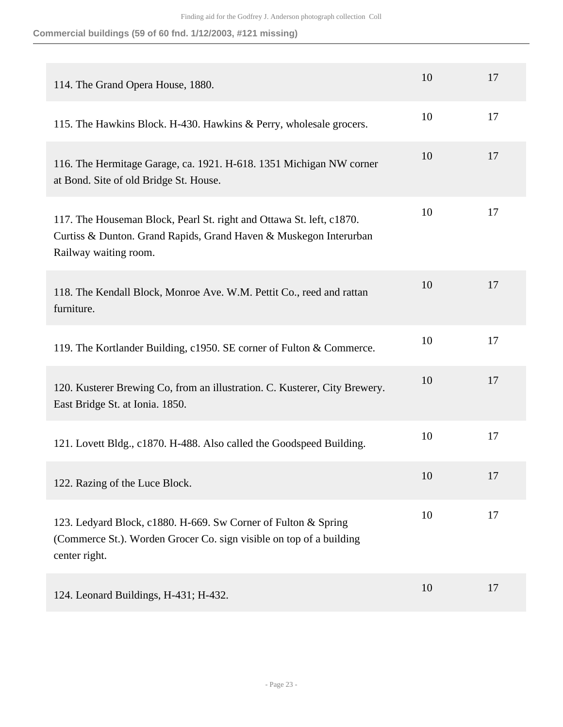**Commercial buildings (59 of 60 fnd. 1/12/2003, #121 missing)**

| 114. The Grand Opera House, 1880.                                                                                                                                  | 10 | 17 |
|--------------------------------------------------------------------------------------------------------------------------------------------------------------------|----|----|
| 115. The Hawkins Block. H-430. Hawkins & Perry, wholesale grocers.                                                                                                 | 10 | 17 |
| 116. The Hermitage Garage, ca. 1921. H-618. 1351 Michigan NW corner<br>at Bond. Site of old Bridge St. House.                                                      | 10 | 17 |
| 117. The Houseman Block, Pearl St. right and Ottawa St. left, c1870.<br>Curtiss & Dunton. Grand Rapids, Grand Haven & Muskegon Interurban<br>Railway waiting room. | 10 | 17 |
| 118. The Kendall Block, Monroe Ave. W.M. Pettit Co., reed and rattan<br>furniture.                                                                                 | 10 | 17 |
| 119. The Kortlander Building, c1950. SE corner of Fulton & Commerce.                                                                                               | 10 | 17 |
| 120. Kusterer Brewing Co, from an illustration. C. Kusterer, City Brewery.<br>East Bridge St. at Ionia. 1850.                                                      | 10 | 17 |
| 121. Lovett Bldg., c1870. H-488. Also called the Goodspeed Building.                                                                                               | 10 | 17 |
| 122. Razing of the Luce Block.                                                                                                                                     | 10 | 17 |
| 123. Ledyard Block, c1880. H-669. Sw Corner of Fulton & Spring<br>(Commerce St.). Worden Grocer Co. sign visible on top of a building<br>center right.             | 10 | 17 |
| 124. Leonard Buildings, H-431; H-432.                                                                                                                              | 10 | 17 |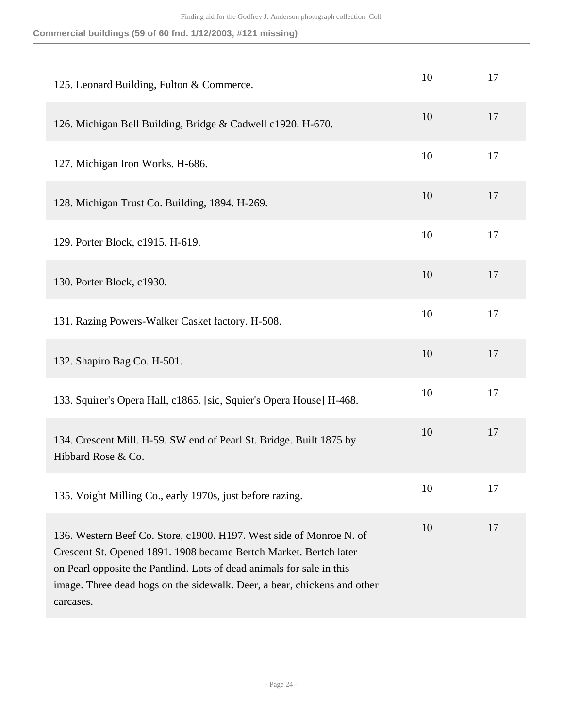| Commercial buildings (59 of 60 fnd. 1/12/2003, #121 missing) |  |  |  |  |  |
|--------------------------------------------------------------|--|--|--|--|--|
|--------------------------------------------------------------|--|--|--|--|--|

| 125. Leonard Building, Fulton & Commerce.                                                                                                                                                                                                                                                                  | 10 | 17 |
|------------------------------------------------------------------------------------------------------------------------------------------------------------------------------------------------------------------------------------------------------------------------------------------------------------|----|----|
| 126. Michigan Bell Building, Bridge & Cadwell c1920. H-670.                                                                                                                                                                                                                                                | 10 | 17 |
| 127. Michigan Iron Works. H-686.                                                                                                                                                                                                                                                                           | 10 | 17 |
| 128. Michigan Trust Co. Building, 1894. H-269.                                                                                                                                                                                                                                                             | 10 | 17 |
| 129. Porter Block, c1915. H-619.                                                                                                                                                                                                                                                                           | 10 | 17 |
| 130. Porter Block, c1930.                                                                                                                                                                                                                                                                                  | 10 | 17 |
| 131. Razing Powers-Walker Casket factory. H-508.                                                                                                                                                                                                                                                           | 10 | 17 |
| 132. Shapiro Bag Co. H-501.                                                                                                                                                                                                                                                                                | 10 | 17 |
| 133. Squirer's Opera Hall, c1865. [sic, Squier's Opera House] H-468.                                                                                                                                                                                                                                       | 10 | 17 |
| 134. Crescent Mill. H-59. SW end of Pearl St. Bridge. Built 1875 by<br>Hibbard Rose & Co.                                                                                                                                                                                                                  | 10 | 17 |
| 135. Voight Milling Co., early 1970s, just before razing.                                                                                                                                                                                                                                                  | 10 | 17 |
| 136. Western Beef Co. Store, c1900. H197. West side of Monroe N. of<br>Crescent St. Opened 1891. 1908 became Bertch Market. Bertch later<br>on Pearl opposite the Pantlind. Lots of dead animals for sale in this<br>image. Three dead hogs on the sidewalk. Deer, a bear, chickens and other<br>carcases. | 10 | 17 |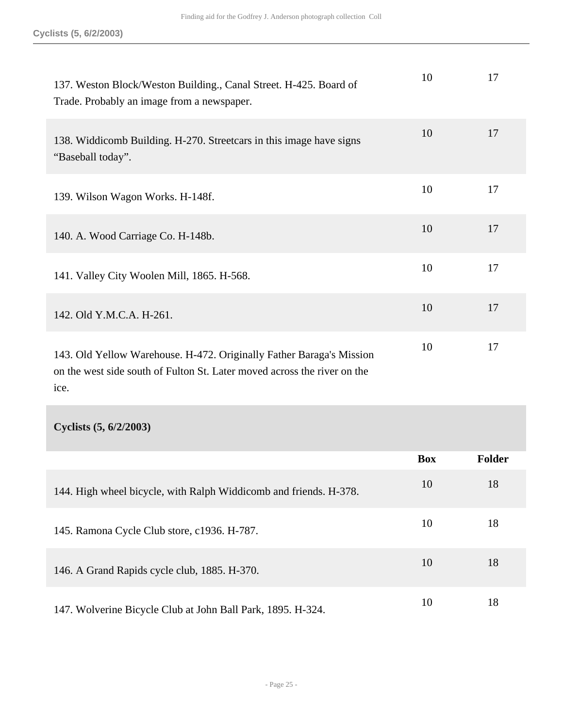| 137. Weston Block/Weston Building., Canal Street. H-425. Board of<br>Trade. Probably an image from a newspaper.                                  | 10 | 17 |
|--------------------------------------------------------------------------------------------------------------------------------------------------|----|----|
| 138. Widdicomb Building. H-270. Streetcars in this image have signs<br>"Baseball today".                                                         | 10 | 17 |
| 139. Wilson Wagon Works. H-148f.                                                                                                                 | 10 | 17 |
| 140. A. Wood Carriage Co. H-148b.                                                                                                                | 10 | 17 |
| 141. Valley City Woolen Mill, 1865. H-568.                                                                                                       | 10 | 17 |
| 142. Old Y.M.C.A. H-261.                                                                                                                         | 10 | 17 |
| 143. Old Yellow Warehouse. H-472. Originally Father Baraga's Mission<br>on the west side south of Fulton St. Later moved across the river on the | 10 | 17 |

ice.

**Cyclists (5, 6/2/2003)** 

|                                                                   | <b>Box</b> | <b>Folder</b> |
|-------------------------------------------------------------------|------------|---------------|
| 144. High wheel bicycle, with Ralph Widdicomb and friends. H-378. | 10         | 18            |
| 145. Ramona Cycle Club store, c1936. H-787.                       | 10         | 18            |
| 146. A Grand Rapids cycle club, 1885. H-370.                      | 10         | 18            |
| 147. Wolverine Bicycle Club at John Ball Park, 1895. H-324.       | 10         | 18            |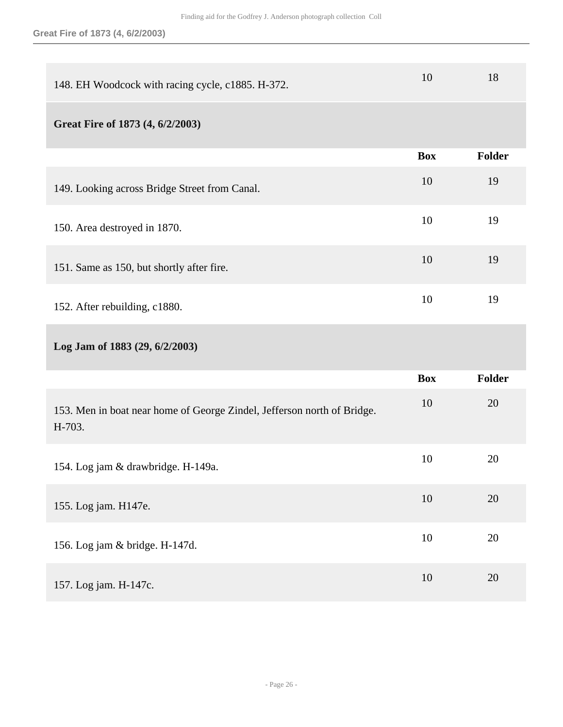| 148. EH Woodcock with racing cycle, c1885. H-372.                                 | 10         | 18     |
|-----------------------------------------------------------------------------------|------------|--------|
| Great Fire of 1873 (4, 6/2/2003)                                                  |            |        |
|                                                                                   | <b>Box</b> | Folder |
| 149. Looking across Bridge Street from Canal.                                     | 10         | 19     |
| 150. Area destroyed in 1870.                                                      | 10         | 19     |
| 151. Same as 150, but shortly after fire.                                         | 10         | 19     |
| 152. After rebuilding, c1880.                                                     | 10         | 19     |
|                                                                                   |            |        |
| Log Jam of 1883 (29, 6/2/2003)                                                    |            |        |
|                                                                                   | <b>Box</b> | Folder |
| 153. Men in boat near home of George Zindel, Jefferson north of Bridge.<br>H-703. | 10         | 20     |
| 154. Log jam & drawbridge. H-149a.                                                | 10         | 20     |
| 155. Log jam. H147e.                                                              | 10         | 20     |
| 156. Log jam & bridge. H-147d.                                                    | 10         | 20     |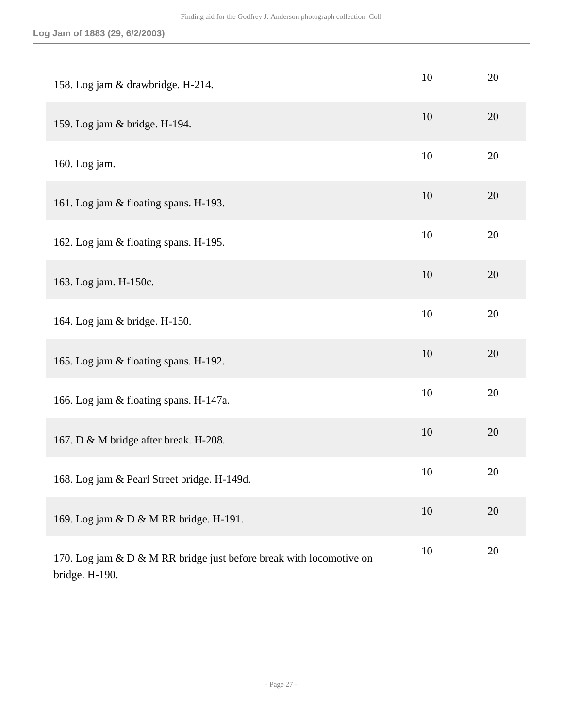| 158. Log jam & drawbridge. H-214.                                                     | 10 | 20 |
|---------------------------------------------------------------------------------------|----|----|
| 159. Log jam & bridge. H-194.                                                         | 10 | 20 |
| 160. Log jam.                                                                         | 10 | 20 |
| 161. Log jam & floating spans. H-193.                                                 | 10 | 20 |
| 162. Log jam & floating spans. H-195.                                                 | 10 | 20 |
| 163. Log jam. H-150c.                                                                 | 10 | 20 |
| 164. Log jam & bridge. H-150.                                                         | 10 | 20 |
| 165. Log jam & floating spans. H-192.                                                 | 10 | 20 |
| 166. Log jam & floating spans. H-147a.                                                | 10 | 20 |
| 167. D & M bridge after break. H-208.                                                 | 10 | 20 |
| 168. Log jam & Pearl Street bridge. H-149d.                                           | 10 | 20 |
| 169. Log jam & D & M RR bridge. H-191.                                                | 10 | 20 |
| 170. Log jam & D & M RR bridge just before break with locomotive on<br>bridge. H-190. | 10 | 20 |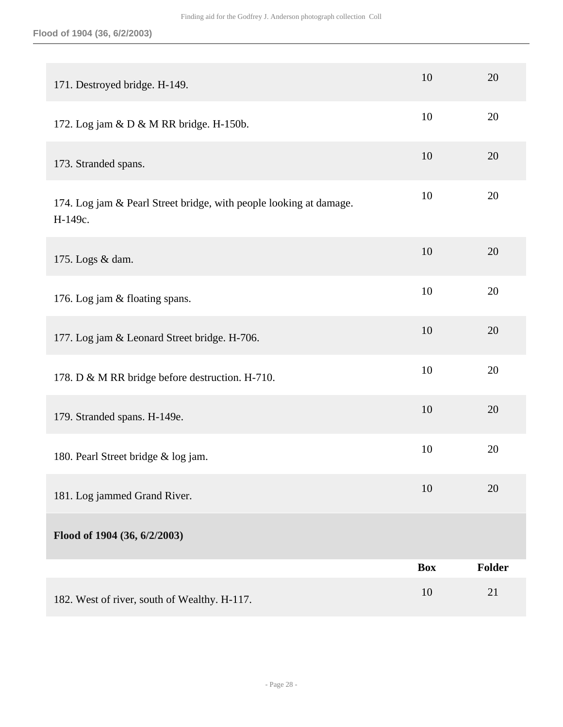| 171. Destroyed bridge. H-149.                                                 | 10         | 20     |
|-------------------------------------------------------------------------------|------------|--------|
| 172. Log jam & D & M RR bridge. H-150b.                                       | 10         | 20     |
| 173. Stranded spans.                                                          | 10         | 20     |
| 174. Log jam & Pearl Street bridge, with people looking at damage.<br>H-149c. | 10         | 20     |
| 175. Logs & dam.                                                              | 10         | 20     |
| 176. Log jam & floating spans.                                                | 10         | 20     |
| 177. Log jam & Leonard Street bridge. H-706.                                  | 10         | 20     |
| 178. D & M RR bridge before destruction. H-710.                               | 10         | 20     |
| 179. Stranded spans. H-149e.                                                  | 10         | 20     |
| 180. Pearl Street bridge & log jam.                                           | 10         | 20     |
| 181. Log jammed Grand River.                                                  | 10         | 20     |
| Flood of 1904 (36, 6/2/2003)                                                  |            |        |
|                                                                               | <b>Box</b> | Folder |
| 182. West of river, south of Wealthy. H-117.                                  | 10         | 21     |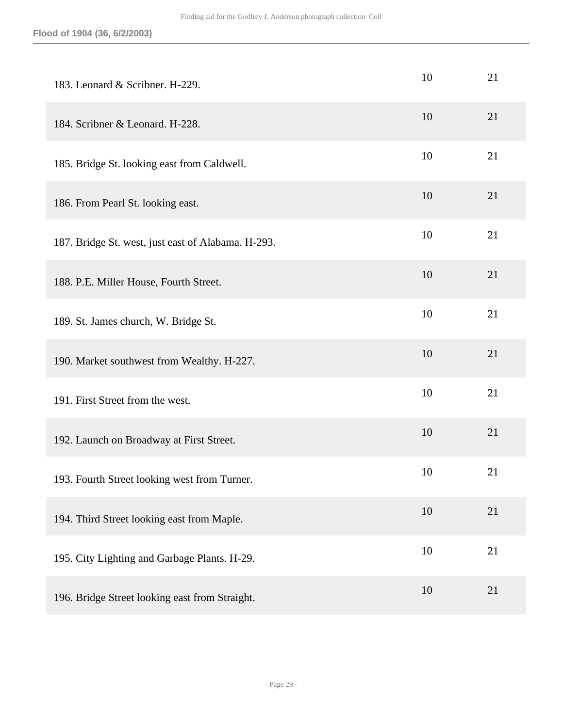| 183. Leonard & Scribner. H-229.                    | 10 | 21 |
|----------------------------------------------------|----|----|
| 184. Scribner & Leonard. H-228.                    | 10 | 21 |
| 185. Bridge St. looking east from Caldwell.        | 10 | 21 |
| 186. From Pearl St. looking east.                  | 10 | 21 |
| 187. Bridge St. west, just east of Alabama. H-293. | 10 | 21 |
| 188. P.E. Miller House, Fourth Street.             | 10 | 21 |
| 189. St. James church, W. Bridge St.               | 10 | 21 |
| 190. Market southwest from Wealthy. H-227.         | 10 | 21 |
| 191. First Street from the west.                   | 10 | 21 |
| 192. Launch on Broadway at First Street.           | 10 | 21 |
| 193. Fourth Street looking west from Turner.       | 10 | 21 |
| 194. Third Street looking east from Maple.         | 10 | 21 |
| 195. City Lighting and Garbage Plants. H-29.       | 10 | 21 |
| 196. Bridge Street looking east from Straight.     | 10 | 21 |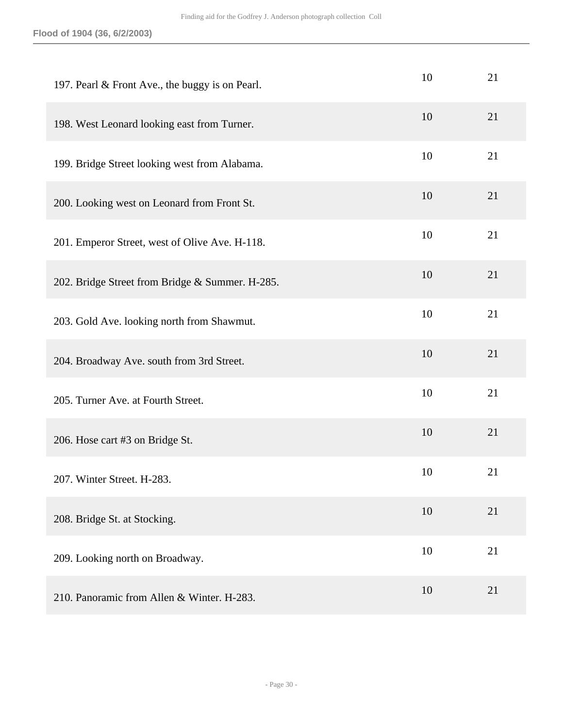| 197. Pearl & Front Ave., the buggy is on Pearl. | 10 | 21 |
|-------------------------------------------------|----|----|
| 198. West Leonard looking east from Turner.     | 10 | 21 |
| 199. Bridge Street looking west from Alabama.   | 10 | 21 |
| 200. Looking west on Leonard from Front St.     | 10 | 21 |
| 201. Emperor Street, west of Olive Ave. H-118.  | 10 | 21 |
| 202. Bridge Street from Bridge & Summer. H-285. | 10 | 21 |
| 203. Gold Ave. looking north from Shawmut.      | 10 | 21 |
| 204. Broadway Ave. south from 3rd Street.       | 10 | 21 |
| 205. Turner Ave. at Fourth Street.              | 10 | 21 |
| 206. Hose cart #3 on Bridge St.                 | 10 | 21 |
| 207. Winter Street. H-283.                      | 10 | 21 |
| 208. Bridge St. at Stocking.                    | 10 | 21 |
| 209. Looking north on Broadway.                 | 10 | 21 |
| 210. Panoramic from Allen & Winter. H-283.      | 10 | 21 |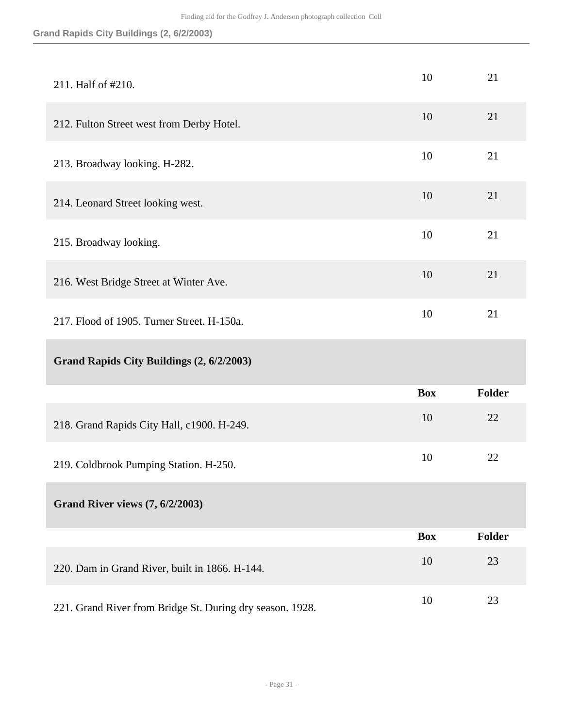### **Grand Rapids City Buildings (2, 6/2/2003)**

| 211. Half of #210.                             | 10         | 21            |
|------------------------------------------------|------------|---------------|
| 212. Fulton Street west from Derby Hotel.      | 10         | 21            |
| 213. Broadway looking. H-282.                  | 10         | 21            |
| 214. Leonard Street looking west.              | 10         | 21            |
| 215. Broadway looking.                         | 10         | 21            |
| 216. West Bridge Street at Winter Ave.         | 10         | 21            |
| 217. Flood of 1905. Turner Street. H-150a.     | 10         | 21            |
|                                                |            |               |
| Grand Rapids City Buildings (2, 6/2/2003)      |            |               |
|                                                | <b>Box</b> | <b>Folder</b> |
| 218. Grand Rapids City Hall, c1900. H-249.     | 10         | 22            |
| 219. Coldbrook Pumping Station. H-250.         | 10         | 22            |
| <b>Grand River views (7, 6/2/2003)</b>         |            |               |
|                                                | <b>Box</b> | <b>Folder</b> |
| 220. Dam in Grand River, built in 1866. H-144. | 10         | 23            |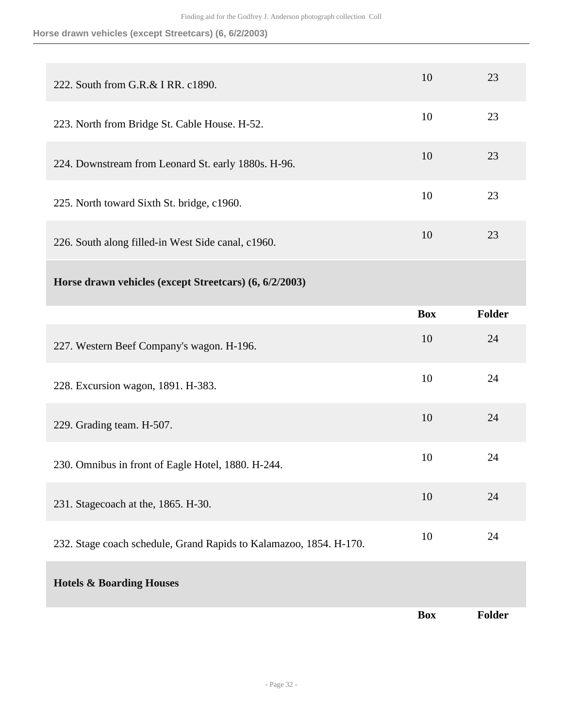**Horse drawn vehicles (except Streetcars) (6, 6/2/2003)**

| 222. South from G.R.& I RR. c1890.                                 | 10         | 23            |
|--------------------------------------------------------------------|------------|---------------|
| 223. North from Bridge St. Cable House. H-52.                      | 10         | 23            |
| 224. Downstream from Leonard St. early 1880s. H-96.                | 10         | 23            |
| 225. North toward Sixth St. bridge, c1960.                         | 10         | 23            |
| 226. South along filled-in West Side canal, c1960.                 | 10         | 23            |
| Horse drawn vehicles (except Streetcars) (6, 6/2/2003)             |            |               |
|                                                                    | <b>Box</b> | <b>Folder</b> |
| 227. Western Beef Company's wagon. H-196.                          | 10         | 24            |
| 228. Excursion wagon, 1891. H-383.                                 | 10         | 24            |
| 229. Grading team. H-507.                                          | 10         | 24            |
| 230. Omnibus in front of Eagle Hotel, 1880. H-244.                 | 10         | 24            |
| 231. Stagecoach at the, 1865. H-30.                                | 10         | 24            |
| 232. Stage coach schedule, Grand Rapids to Kalamazoo, 1854. H-170. | 10         | 24            |
| <b>Hotels &amp; Boarding Houses</b>                                |            |               |
|                                                                    | <b>Box</b> | Folder        |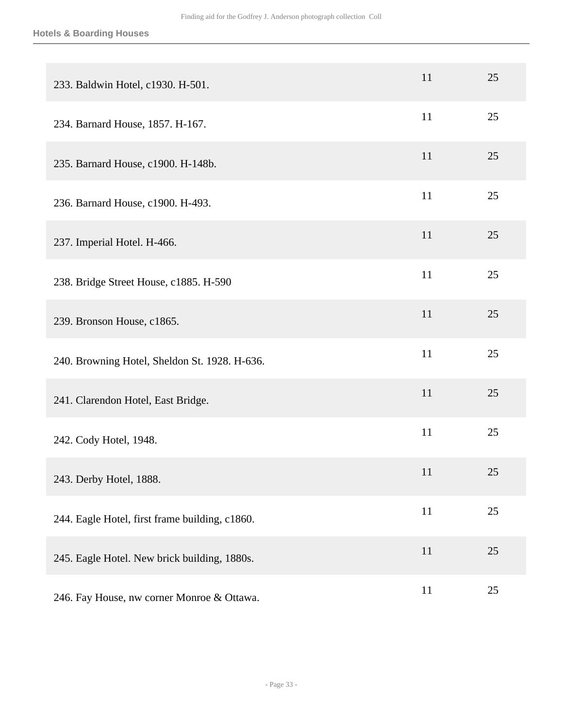#### **Hotels & Boarding Houses**

| 233. Baldwin Hotel, c1930. H-501.              | 11 | 25 |
|------------------------------------------------|----|----|
| 234. Barnard House, 1857. H-167.               | 11 | 25 |
| 235. Barnard House, c1900. H-148b.             | 11 | 25 |
| 236. Barnard House, c1900. H-493.              | 11 | 25 |
| 237. Imperial Hotel. H-466.                    | 11 | 25 |
| 238. Bridge Street House, c1885. H-590         | 11 | 25 |
| 239. Bronson House, c1865.                     | 11 | 25 |
| 240. Browning Hotel, Sheldon St. 1928. H-636.  | 11 | 25 |
| 241. Clarendon Hotel, East Bridge.             | 11 | 25 |
| 242. Cody Hotel, 1948.                         | 11 | 25 |
| 243. Derby Hotel, 1888.                        | 11 | 25 |
| 244. Eagle Hotel, first frame building, c1860. | 11 | 25 |
| 245. Eagle Hotel. New brick building, 1880s.   | 11 | 25 |
| 246. Fay House, nw corner Monroe & Ottawa.     | 11 | 25 |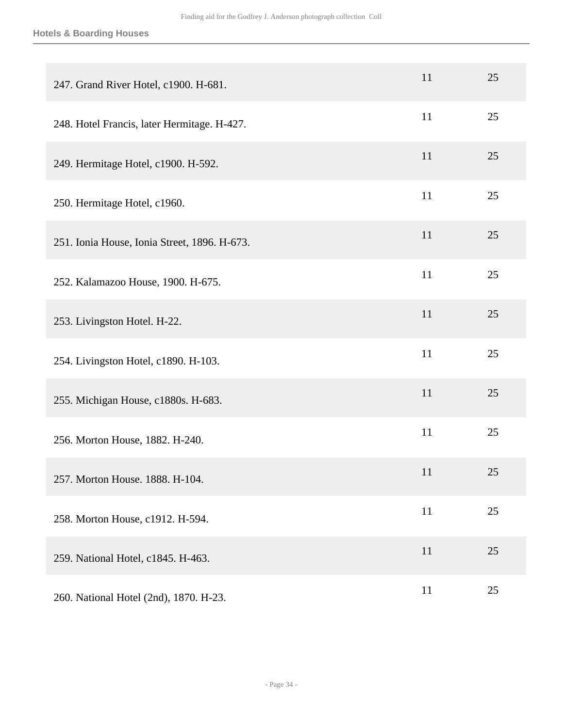#### **Hotels & Boarding Houses**

| 247. Grand River Hotel, c1900. H-681.        | 11 | 25 |
|----------------------------------------------|----|----|
| 248. Hotel Francis, later Hermitage. H-427.  | 11 | 25 |
| 249. Hermitage Hotel, c1900. H-592.          | 11 | 25 |
| 250. Hermitage Hotel, c1960.                 | 11 | 25 |
| 251. Ionia House, Ionia Street, 1896. H-673. | 11 | 25 |
| 252. Kalamazoo House, 1900. H-675.           | 11 | 25 |
| 253. Livingston Hotel. H-22.                 | 11 | 25 |
| 254. Livingston Hotel, c1890. H-103.         | 11 | 25 |
| 255. Michigan House, c1880s. H-683.          | 11 | 25 |
| 256. Morton House, 1882. H-240.              | 11 | 25 |
| 257. Morton House. 1888. H-104.              | 11 | 25 |
| 258. Morton House, c1912. H-594.             | 11 | 25 |
| 259. National Hotel, c1845. H-463.           | 11 | 25 |
| 260. National Hotel (2nd), 1870. H-23.       | 11 | 25 |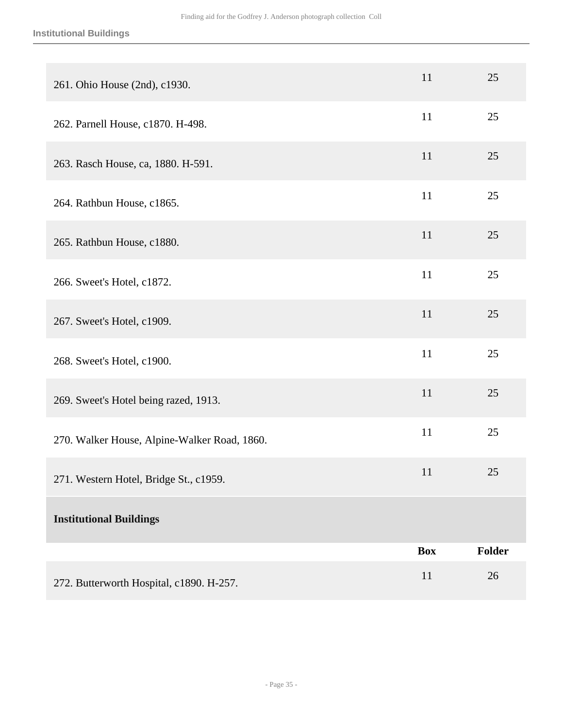#### **Institutional Buildings**

| 261. Ohio House (2nd), c1930.                | 11         | 25     |
|----------------------------------------------|------------|--------|
| 262. Parnell House, c1870. H-498.            | 11         | 25     |
| 263. Rasch House, ca, 1880. H-591.           | 11         | 25     |
| 264. Rathbun House, c1865.                   | 11         | 25     |
| 265. Rathbun House, c1880.                   | 11         | 25     |
| 266. Sweet's Hotel, c1872.                   | 11         | 25     |
| 267. Sweet's Hotel, c1909.                   | 11         | 25     |
| 268. Sweet's Hotel, c1900.                   | 11         | 25     |
| 269. Sweet's Hotel being razed, 1913.        | 11         | 25     |
| 270. Walker House, Alpine-Walker Road, 1860. | 11         | 25     |
| 271. Western Hotel, Bridge St., c1959.       | 11         | 25     |
| <b>Institutional Buildings</b>               |            |        |
|                                              | <b>Box</b> | Folder |
| 272. Butterworth Hospital, c1890. H-257.     | 11         | 26     |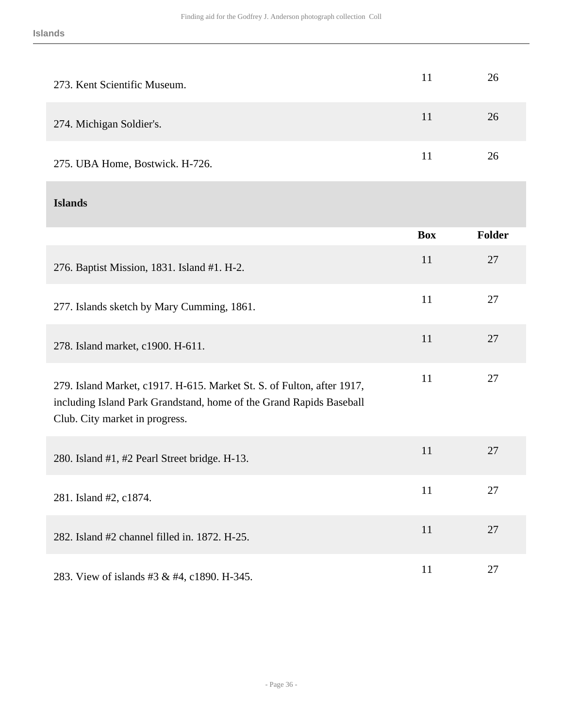| 273. Kent Scientific Museum.                                                                                                                                                    | 11         | 26     |
|---------------------------------------------------------------------------------------------------------------------------------------------------------------------------------|------------|--------|
| 274. Michigan Soldier's.                                                                                                                                                        | 11         | 26     |
| 275. UBA Home, Bostwick. H-726.                                                                                                                                                 | 11         | 26     |
| <b>Islands</b>                                                                                                                                                                  |            |        |
|                                                                                                                                                                                 | <b>Box</b> | Folder |
| 276. Baptist Mission, 1831. Island #1. H-2.                                                                                                                                     | 11         | 27     |
| 277. Islands sketch by Mary Cumming, 1861.                                                                                                                                      | 11         | 27     |
| 278. Island market, c1900. H-611.                                                                                                                                               | 11         | 27     |
| 279. Island Market, c1917. H-615. Market St. S. of Fulton, after 1917,<br>including Island Park Grandstand, home of the Grand Rapids Baseball<br>Club. City market in progress. | 11         | 27     |
| 280. Island #1, #2 Pearl Street bridge. H-13.                                                                                                                                   | 11         | 27     |
| 281. Island #2, c1874.                                                                                                                                                          | 11         | 27     |
| 282. Island #2 channel filled in. 1872. H-25.                                                                                                                                   | 11         | 27     |
| 283. View of islands #3 & #4, c1890. H-345.                                                                                                                                     | 11         | 27     |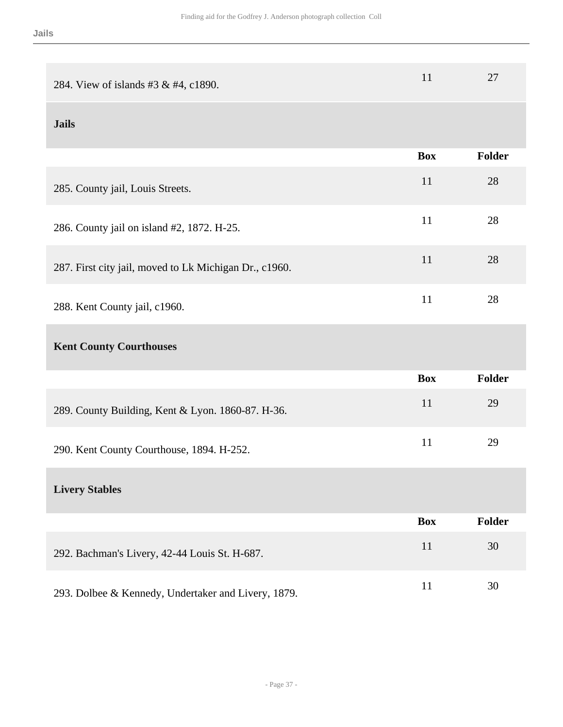| 284. View of islands #3 & #4, c1890.                   | 11         | 27     |
|--------------------------------------------------------|------------|--------|
| <b>Jails</b>                                           |            |        |
|                                                        | <b>Box</b> | Folder |
| 285. County jail, Louis Streets.                       | 11         | 28     |
| 286. County jail on island #2, 1872. H-25.             | 11         | 28     |
| 287. First city jail, moved to Lk Michigan Dr., c1960. | 11         | 28     |
| 288. Kent County jail, c1960.                          | 11         | 28     |
| <b>Kent County Courthouses</b>                         |            |        |
|                                                        | <b>Box</b> | Folder |
| 289. County Building, Kent & Lyon. 1860-87. H-36.      | 11         | 29     |
| 290. Kent County Courthouse, 1894. H-252.              | 11         | 29     |
| <b>Livery Stables</b>                                  |            |        |
|                                                        | <b>Box</b> | Folder |
| 292. Bachman's Livery, 42-44 Louis St. H-687.          | 11         | 30     |
| 293. Dolbee & Kennedy, Undertaker and Livery, 1879.    | 11         | 30     |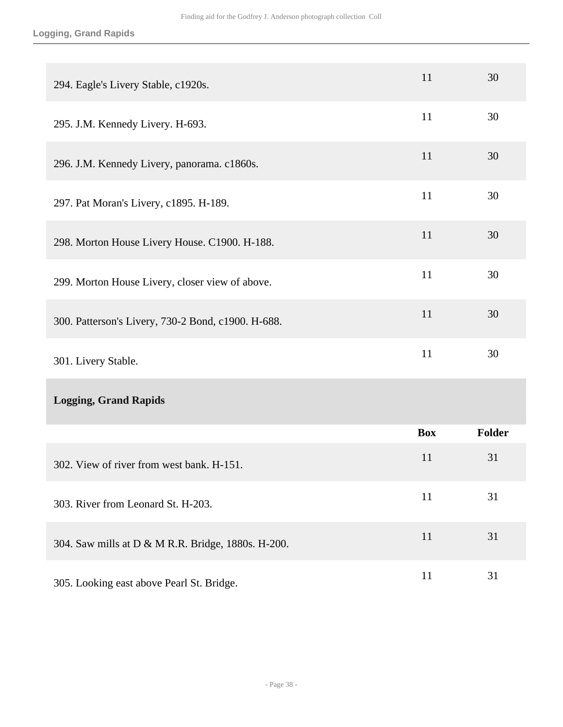### **Logging, Grand Rapids**

| 294. Eagle's Livery Stable, c1920s.                | 11         | 30     |
|----------------------------------------------------|------------|--------|
| 295. J.M. Kennedy Livery. H-693.                   | 11         | 30     |
| 296. J.M. Kennedy Livery, panorama. c1860s.        | 11         | 30     |
| 297. Pat Moran's Livery, c1895. H-189.             | 11         | 30     |
| 298. Morton House Livery House. C1900. H-188.      | 11         | 30     |
| 299. Morton House Livery, closer view of above.    | 11         | 30     |
| 300. Patterson's Livery, 730-2 Bond, c1900. H-688. | 11         | 30     |
| 301. Livery Stable.                                | 11         | 30     |
| <b>Logging, Grand Rapids</b>                       |            |        |
|                                                    | <b>Box</b> | Folder |
| 302. View of river from west bank. H-151.          | 11         | 31     |
| 303. River from Leonard St. H-203.                 | 11         | 31     |
| 304. Saw mills at D & M R.R. Bridge, 1880s. H-200. | 11         | 31     |
| 305. Looking east above Pearl St. Bridge.          | 11         | 31     |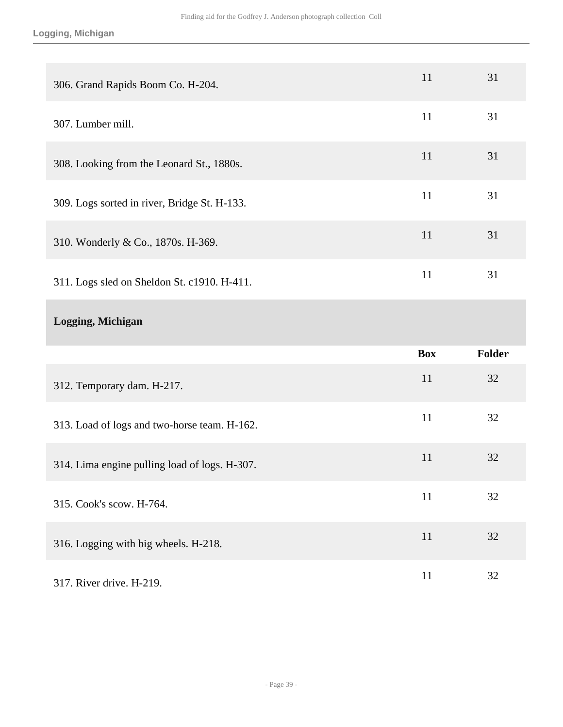### **Logging, Michigan**

| 306. Grand Rapids Boom Co. H-204.             | 11         | 31            |
|-----------------------------------------------|------------|---------------|
| 307. Lumber mill.                             | 11         | 31            |
| 308. Looking from the Leonard St., 1880s.     | 11         | 31            |
| 309. Logs sorted in river, Bridge St. H-133.  | 11         | 31            |
| 310. Wonderly & Co., 1870s. H-369.            | 11         | 31            |
| 311. Logs sled on Sheldon St. c1910. H-411.   | 11         | 31            |
| Logging, Michigan                             |            |               |
|                                               |            |               |
|                                               | <b>Box</b> | <b>Folder</b> |
| 312. Temporary dam. H-217.                    | 11         | 32            |
| 313. Load of logs and two-horse team. H-162.  | 11         | 32            |
| 314. Lima engine pulling load of logs. H-307. | 11         | 32            |
| 315. Cook's scow. H-764.                      | 11         | 32            |
| 316. Logging with big wheels. H-218.          | 11         | 32            |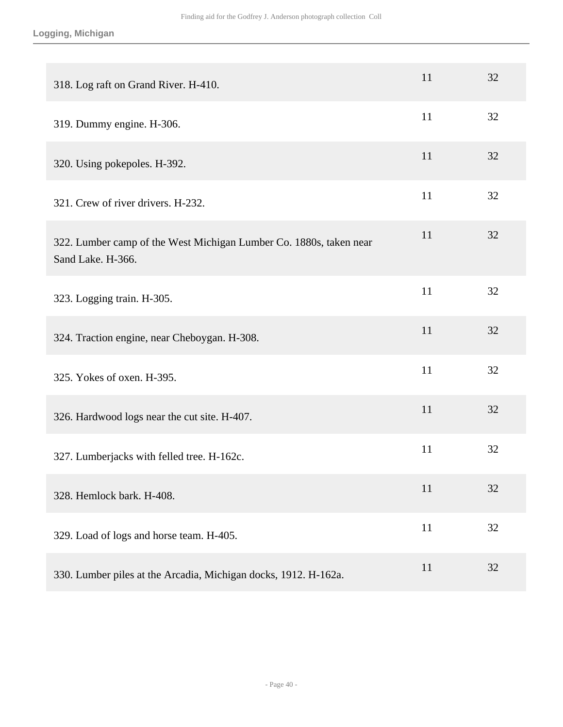| 318. Log raft on Grand River. H-410.                                                    | 11 | 32 |
|-----------------------------------------------------------------------------------------|----|----|
| 319. Dummy engine. H-306.                                                               | 11 | 32 |
| 320. Using pokepoles. H-392.                                                            | 11 | 32 |
| 321. Crew of river drivers. H-232.                                                      | 11 | 32 |
| 322. Lumber camp of the West Michigan Lumber Co. 1880s, taken near<br>Sand Lake. H-366. | 11 | 32 |
| 323. Logging train. H-305.                                                              | 11 | 32 |
| 324. Traction engine, near Cheboygan. H-308.                                            | 11 | 32 |
| 325. Yokes of oxen. H-395.                                                              | 11 | 32 |
| 326. Hardwood logs near the cut site. H-407.                                            | 11 | 32 |
| 327. Lumberjacks with felled tree. H-162c.                                              | 11 | 32 |
| 328. Hemlock bark. H-408.                                                               | 11 | 32 |
| 329. Load of logs and horse team. H-405.                                                | 11 | 32 |
| 330. Lumber piles at the Arcadia, Michigan docks, 1912. H-162a.                         | 11 | 32 |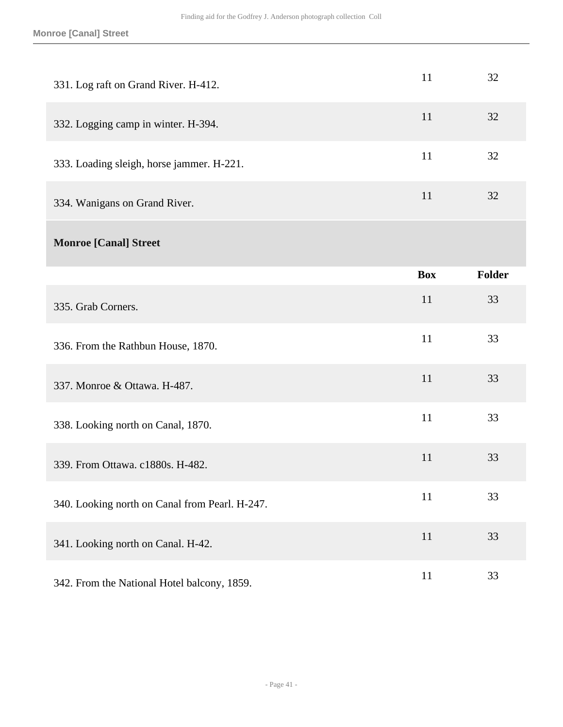| 331. Log raft on Grand River. H-412.           | 11         | 32            |
|------------------------------------------------|------------|---------------|
| 332. Logging camp in winter. H-394.            | 11         | 32            |
| 333. Loading sleigh, horse jammer. H-221.      | 11         | 32            |
| 334. Wanigans on Grand River.                  | 11         | 32            |
| <b>Monroe [Canal] Street</b>                   |            |               |
|                                                | <b>Box</b> | <b>Folder</b> |
| 335. Grab Corners.                             | 11         | 33            |
| 336. From the Rathbun House, 1870.             | 11         | 33            |
| 337. Monroe & Ottawa. H-487.                   | 11         | 33            |
| 338. Looking north on Canal, 1870.             | 11         | 33            |
| 339. From Ottawa. c1880s. H-482.               | 11         | 33            |
| 340. Looking north on Canal from Pearl. H-247. | 11         | 33            |
| 341. Looking north on Canal. H-42.             | 11         | 33            |
| 342. From the National Hotel balcony, 1859.    | $11\,$     | 33            |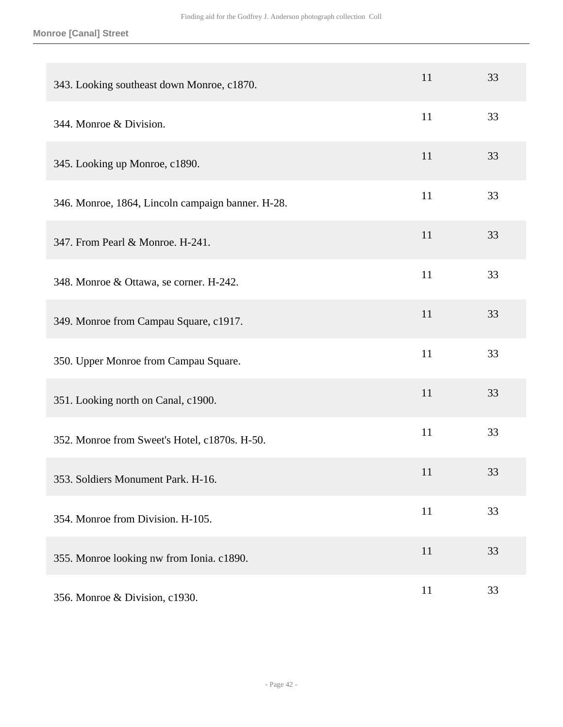#### **Monroe [Canal] Street**

| 343. Looking southeast down Monroe, c1870.        | 11 | 33 |
|---------------------------------------------------|----|----|
| 344. Monroe & Division.                           | 11 | 33 |
| 345. Looking up Monroe, c1890.                    | 11 | 33 |
| 346. Monroe, 1864, Lincoln campaign banner. H-28. | 11 | 33 |
| 347. From Pearl & Monroe. H-241.                  | 11 | 33 |
| 348. Monroe & Ottawa, se corner. H-242.           | 11 | 33 |
| 349. Monroe from Campau Square, c1917.            | 11 | 33 |
| 350. Upper Monroe from Campau Square.             | 11 | 33 |
| 351. Looking north on Canal, c1900.               | 11 | 33 |
| 352. Monroe from Sweet's Hotel, c1870s. H-50.     | 11 | 33 |
| 353. Soldiers Monument Park. H-16.                | 11 | 33 |
| 354. Monroe from Division. H-105.                 | 11 | 33 |
| 355. Monroe looking nw from Ionia. c1890.         | 11 | 33 |
| 356. Monroe & Division, c1930.                    | 11 | 33 |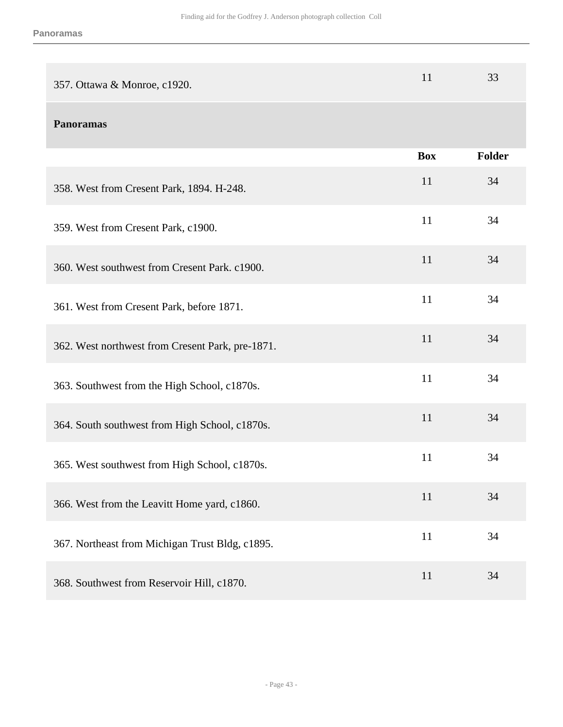| 357. Ottawa & Monroe, c1920.                     | 11         | 33     |
|--------------------------------------------------|------------|--------|
| <b>Panoramas</b>                                 |            |        |
|                                                  | <b>Box</b> | Folder |
| 358. West from Cresent Park, 1894. H-248.        | 11         | 34     |
| 359. West from Cresent Park, c1900.              | 11         | 34     |
| 360. West southwest from Cresent Park. c1900.    | 11         | 34     |
| 361. West from Cresent Park, before 1871.        | 11         | 34     |
| 362. West northwest from Cresent Park, pre-1871. | 11         | 34     |
| 363. Southwest from the High School, c1870s.     | 11         | 34     |
| 364. South southwest from High School, c1870s.   | 11         | 34     |
| 365. West southwest from High School, c1870s.    | 11         | 34     |
| 366. West from the Leavitt Home yard, c1860.     | 11         | 34     |
| 367. Northeast from Michigan Trust Bldg, c1895.  | 11         | 34     |
| 368. Southwest from Reservoir Hill, c1870.       | 11         | 34     |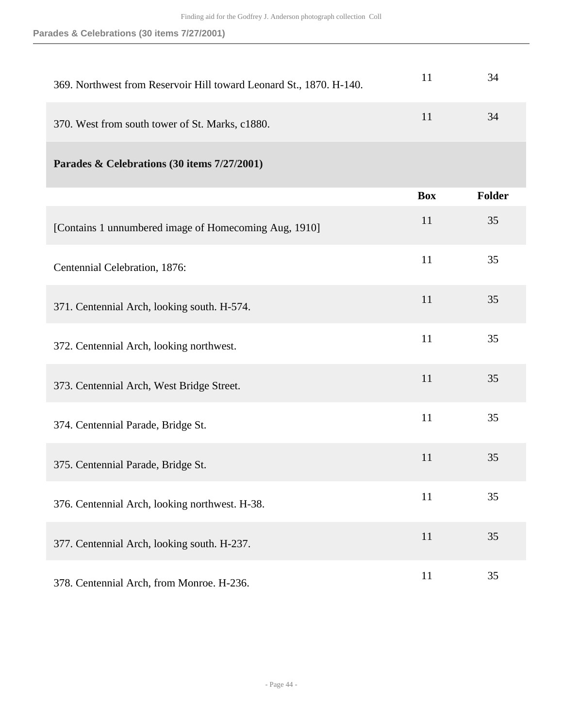| 369. Northwest from Reservoir Hill toward Leonard St., 1870. H-140. | 11         | 34            |
|---------------------------------------------------------------------|------------|---------------|
| 370. West from south tower of St. Marks, c1880.                     | 11         | 34            |
| Parades & Celebrations (30 items 7/27/2001)                         |            |               |
|                                                                     | <b>Box</b> | <b>Folder</b> |
| [Contains 1 unnumbered image of Homecoming Aug, 1910]               | 11         | 35            |
| Centennial Celebration, 1876:                                       | 11         | 35            |
| 371. Centennial Arch, looking south. H-574.                         | 11         | 35            |
| 372. Centennial Arch, looking northwest.                            | 11         | 35            |
| 373. Centennial Arch, West Bridge Street.                           | 11         | 35            |
| 374. Centennial Parade, Bridge St.                                  | 11         | 35            |
| 375. Centennial Parade, Bridge St.                                  | 11         | 35            |
| 376. Centennial Arch, looking northwest. H-38.                      | 11         | 35            |
| 377. Centennial Arch, looking south. H-237.                         | 11         | 35            |
| 378. Centennial Arch, from Monroe. H-236.                           | 11         | 35            |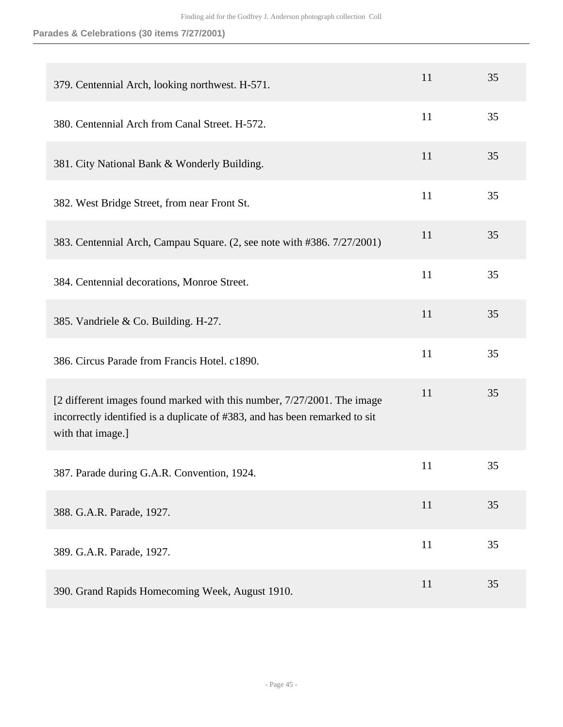| 379. Centennial Arch, looking northwest. H-571.                                                                                                                             | 11 | 35 |
|-----------------------------------------------------------------------------------------------------------------------------------------------------------------------------|----|----|
| 380. Centennial Arch from Canal Street. H-572.                                                                                                                              | 11 | 35 |
| 381. City National Bank & Wonderly Building.                                                                                                                                | 11 | 35 |
| 382. West Bridge Street, from near Front St.                                                                                                                                | 11 | 35 |
| 383. Centennial Arch, Campau Square. (2, see note with #386. 7/27/2001)                                                                                                     | 11 | 35 |
| 384. Centennial decorations, Monroe Street.                                                                                                                                 | 11 | 35 |
| 385. Vandriele & Co. Building. H-27.                                                                                                                                        | 11 | 35 |
| 386. Circus Parade from Francis Hotel. c1890.                                                                                                                               | 11 | 35 |
| [2 different images found marked with this number, 7/27/2001. The image<br>incorrectly identified is a duplicate of #383, and has been remarked to sit<br>with that image.] | 11 | 35 |
| 387. Parade during G.A.R. Convention, 1924.                                                                                                                                 | 11 | 35 |
| 388. G.A.R. Parade, 1927.                                                                                                                                                   | 11 | 35 |
| 389. G.A.R. Parade, 1927.                                                                                                                                                   | 11 | 35 |
| 390. Grand Rapids Homecoming Week, August 1910.                                                                                                                             | 11 | 35 |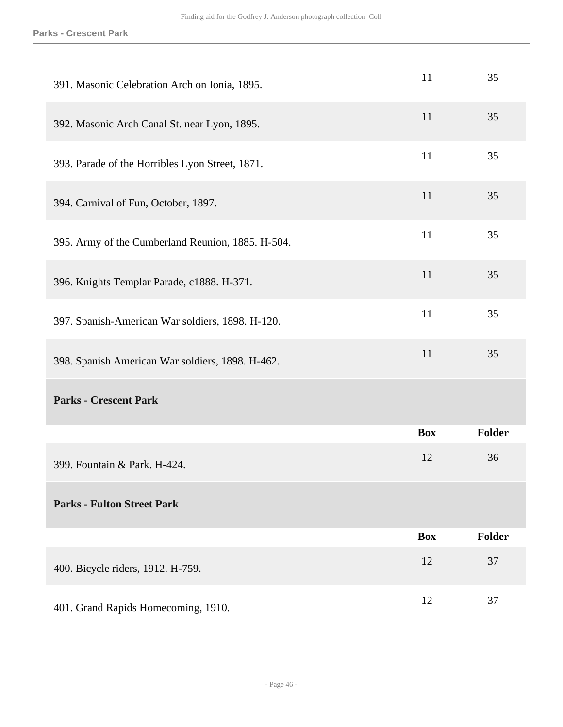| 391. Masonic Celebration Arch on Ionia, 1895.     | 11         | 35            |
|---------------------------------------------------|------------|---------------|
| 392. Masonic Arch Canal St. near Lyon, 1895.      | 11         | 35            |
| 393. Parade of the Horribles Lyon Street, 1871.   | 11         | 35            |
| 394. Carnival of Fun, October, 1897.              | 11         | 35            |
| 395. Army of the Cumberland Reunion, 1885. H-504. | 11         | 35            |
| 396. Knights Templar Parade, c1888. H-371.        | 11         | 35            |
| 397. Spanish-American War soldiers, 1898. H-120.  | 11         | 35            |
| 398. Spanish American War soldiers, 1898. H-462.  | 11         | 35            |
| <b>Parks - Crescent Park</b>                      |            |               |
|                                                   | <b>Box</b> | <b>Folder</b> |
| 399. Fountain & Park. H-424.                      | 12         | 36            |
| <b>Parks - Fulton Street Park</b>                 |            |               |
|                                                   | <b>Box</b> | Folder        |
| 400. Bicycle riders, 1912. H-759.                 | 12         | 37            |
| 401. Grand Rapids Homecoming, 1910.               | 12         | 37            |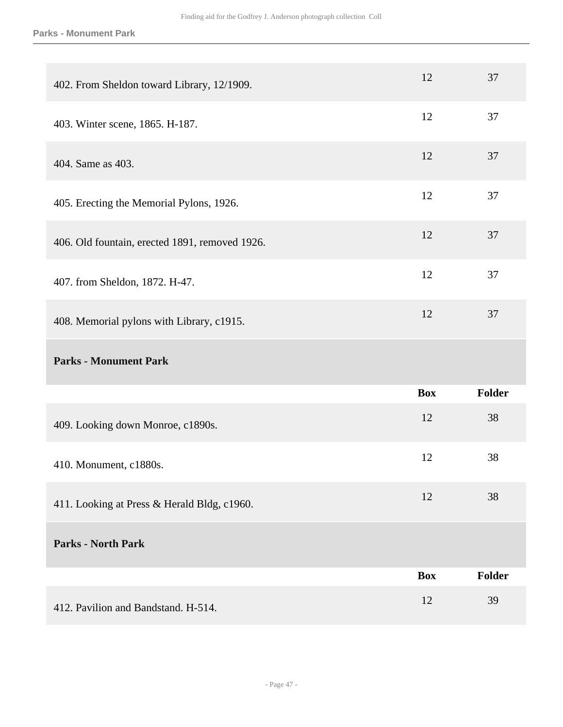#### **Parks - Monument Park**

| 402. From Sheldon toward Library, 12/1909.     | 12         | 37     |
|------------------------------------------------|------------|--------|
| 403. Winter scene, 1865. H-187.                | 12         | 37     |
| 404. Same as 403.                              | 12         | 37     |
| 405. Erecting the Memorial Pylons, 1926.       | 12         | 37     |
| 406. Old fountain, erected 1891, removed 1926. | 12         | 37     |
| 407. from Sheldon, 1872. H-47.                 | 12         | 37     |
| 408. Memorial pylons with Library, c1915.      | 12         | 37     |
|                                                |            |        |
| <b>Parks - Monument Park</b>                   |            |        |
|                                                | <b>Box</b> | Folder |
| 409. Looking down Monroe, c1890s.              | 12         | 38     |
| 410. Monument, c1880s.                         | 12         | 38     |
| 411. Looking at Press & Herald Bldg, c1960.    | 12         | 38     |
| <b>Parks - North Park</b>                      |            |        |
|                                                | <b>Box</b> | Folder |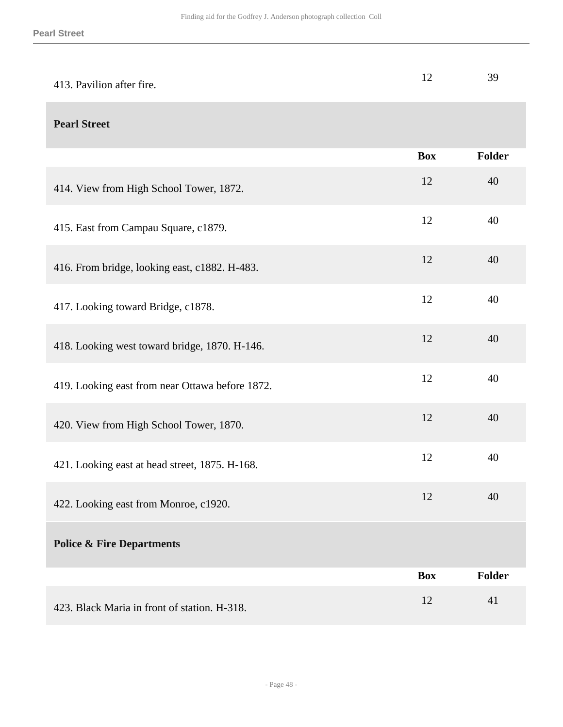| 413. Pavilion after fire.                       | 12         | 39            |
|-------------------------------------------------|------------|---------------|
| <b>Pearl Street</b>                             |            |               |
|                                                 | <b>Box</b> | Folder        |
| 414. View from High School Tower, 1872.         | 12         | 40            |
| 415. East from Campau Square, c1879.            | 12         | 40            |
| 416. From bridge, looking east, c1882. H-483.   | 12         | 40            |
| 417. Looking toward Bridge, c1878.              | 12         | 40            |
| 418. Looking west toward bridge, 1870. H-146.   | 12         | 40            |
| 419. Looking east from near Ottawa before 1872. | 12         | 40            |
| 420. View from High School Tower, 1870.         | 12         | 40            |
| 421. Looking east at head street, 1875. H-168.  | 12         | 40            |
| 422. Looking east from Monroe, c1920.           | 12         | 40            |
| <b>Police &amp; Fire Departments</b>            |            |               |
|                                                 | <b>Box</b> | <b>Folder</b> |
| 423. Black Maria in front of station. H-318.    | 12         | 41            |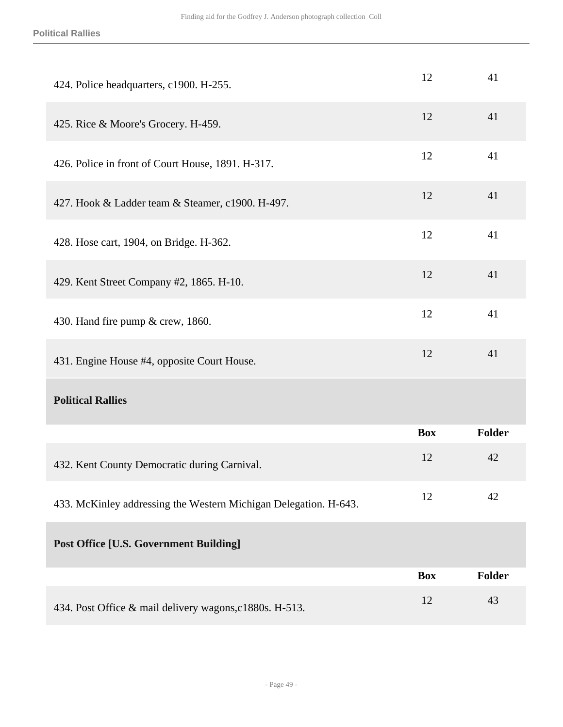#### **Political Rallies**

| 424. Police headquarters, c1900. H-255.                          | 12         | 41            |
|------------------------------------------------------------------|------------|---------------|
| 425. Rice & Moore's Grocery. H-459.                              | 12         | 41            |
| 426. Police in front of Court House, 1891. H-317.                | 12         | 41            |
| 427. Hook & Ladder team & Steamer, c1900. H-497.                 | 12         | 41            |
| 428. Hose cart, 1904, on Bridge. H-362.                          | 12         | 41            |
| 429. Kent Street Company #2, 1865. H-10.                         | 12         | 41            |
| 430. Hand fire pump & crew, 1860.                                | 12         | 41            |
| 431. Engine House #4, opposite Court House.                      | 12         | 41            |
| <b>Political Rallies</b>                                         |            |               |
|                                                                  | <b>Box</b> | <b>Folder</b> |
| 432. Kent County Democratic during Carnival.                     | 12         | 42            |
| 433. McKinley addressing the Western Michigan Delegation. H-643. | 12         | 42            |
| <b>Post Office [U.S. Government Building]</b>                    |            |               |
|                                                                  | <b>Box</b> | <b>Folder</b> |
| 434. Post Office & mail delivery wagons, c1880s. H-513.          | 12         | 43            |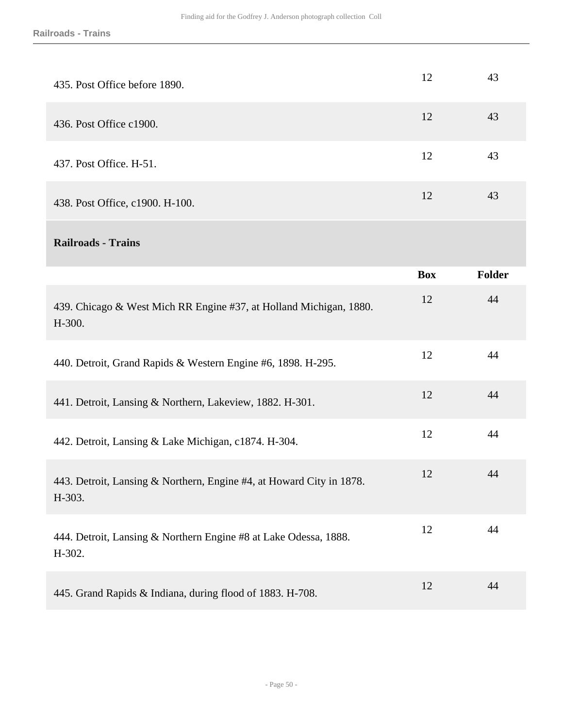| 435. Post Office before 1890.                                                  | 12         | 43     |
|--------------------------------------------------------------------------------|------------|--------|
| 436. Post Office c1900.                                                        | 12         | 43     |
| 437. Post Office. H-51.                                                        | 12         | 43     |
| 438. Post Office, c1900. H-100.                                                | 12         | 43     |
| <b>Railroads - Trains</b>                                                      |            |        |
|                                                                                | <b>Box</b> | Folder |
| 439. Chicago & West Mich RR Engine #37, at Holland Michigan, 1880.<br>H-300.   | 12         | 44     |
| 440. Detroit, Grand Rapids & Western Engine #6, 1898. H-295.                   | 12         | 44     |
| 441. Detroit, Lansing & Northern, Lakeview, 1882. H-301.                       | 12         | 44     |
| 442. Detroit, Lansing & Lake Michigan, c1874. H-304.                           | 12         | 44     |
| 443. Detroit, Lansing & Northern, Engine #4, at Howard City in 1878.<br>H-303. | 12         | 44     |
| 444. Detroit, Lansing & Northern Engine #8 at Lake Odessa, 1888.<br>H-302.     | 12         | 44     |
| 445. Grand Rapids & Indiana, during flood of 1883. H-708.                      | 12         | 44     |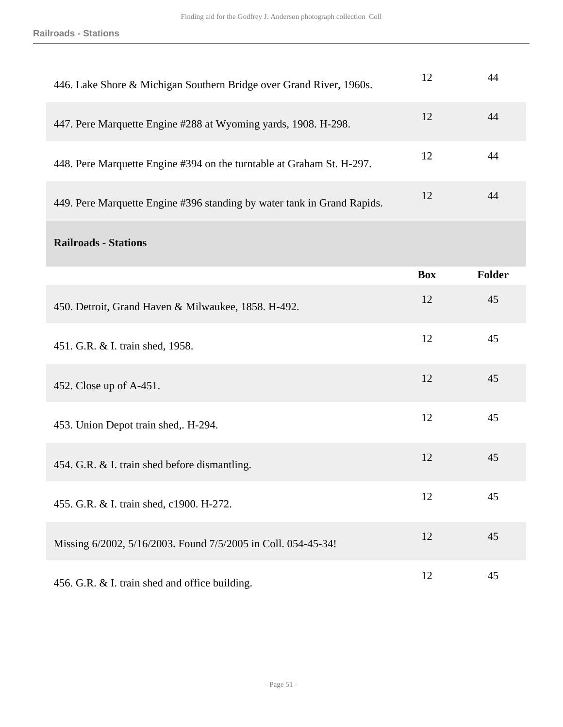| 446. Lake Shore & Michigan Southern Bridge over Grand River, 1960s.     | 12         | 44            |
|-------------------------------------------------------------------------|------------|---------------|
| 447. Pere Marquette Engine #288 at Wyoming yards, 1908. H-298.          | 12         | 44            |
| 448. Pere Marquette Engine #394 on the turntable at Graham St. H-297.   | 12         | 44            |
| 449. Pere Marquette Engine #396 standing by water tank in Grand Rapids. | 12         | 44            |
| <b>Railroads - Stations</b>                                             |            |               |
|                                                                         | <b>Box</b> | <b>Folder</b> |
| 450. Detroit, Grand Haven & Milwaukee, 1858. H-492.                     | 12         | 45            |
| 451. G.R. & I. train shed, 1958.                                        | 12         | 45            |
| 452. Close up of A-451.                                                 | 12         | 45            |
| 453. Union Depot train shed,. H-294.                                    | 12         | 45            |
| 454. G.R. & I. train shed before dismantling.                           | 12         | 45            |
| 455. G.R. & I. train shed, c1900. H-272.                                | 12         | 45            |
| Missing 6/2002, 5/16/2003. Found 7/5/2005 in Coll. 054-45-34!           | 12         | 45            |
| 456. G.R. & I. train shed and office building.                          | 12         | 45            |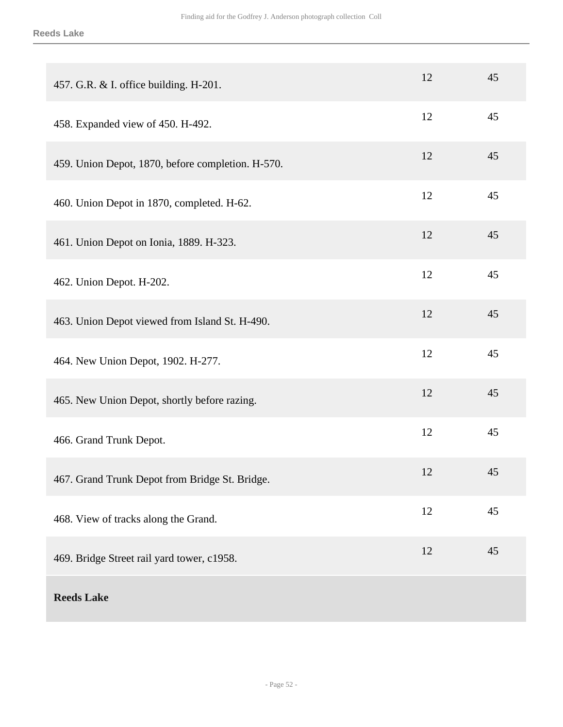| 457. G.R. & I. office building. H-201.            | 12 | 45 |
|---------------------------------------------------|----|----|
| 458. Expanded view of 450. H-492.                 | 12 | 45 |
| 459. Union Depot, 1870, before completion. H-570. | 12 | 45 |
| 460. Union Depot in 1870, completed. H-62.        | 12 | 45 |
| 461. Union Depot on Ionia, 1889. H-323.           | 12 | 45 |
| 462. Union Depot. H-202.                          | 12 | 45 |
| 463. Union Depot viewed from Island St. H-490.    | 12 | 45 |
| 464. New Union Depot, 1902. H-277.                | 12 | 45 |
| 465. New Union Depot, shortly before razing.      | 12 | 45 |
| 466. Grand Trunk Depot.                           | 12 | 45 |
| 467. Grand Trunk Depot from Bridge St. Bridge.    | 12 | 45 |
| 468. View of tracks along the Grand.              | 12 | 45 |
| 469. Bridge Street rail yard tower, c1958.        | 12 | 45 |
| <b>Reeds Lake</b>                                 |    |    |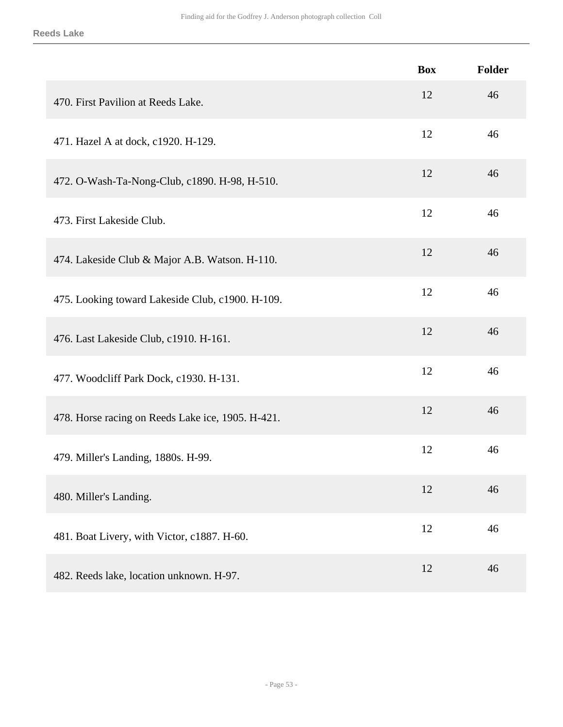#### **Reeds Lake**

|                                                   | <b>Box</b> | <b>Folder</b> |
|---------------------------------------------------|------------|---------------|
| 470. First Pavilion at Reeds Lake.                | 12         | 46            |
| 471. Hazel A at dock, c1920. H-129.               | 12         | 46            |
| 472. O-Wash-Ta-Nong-Club, c1890. H-98, H-510.     | 12         | 46            |
| 473. First Lakeside Club.                         | 12         | 46            |
| 474. Lakeside Club & Major A.B. Watson. H-110.    | 12         | 46            |
| 475. Looking toward Lakeside Club, c1900. H-109.  | 12         | 46            |
| 476. Last Lakeside Club, c1910. H-161.            | 12         | 46            |
| 477. Woodcliff Park Dock, c1930. H-131.           | 12         | 46            |
| 478. Horse racing on Reeds Lake ice, 1905. H-421. | 12         | 46            |
| 479. Miller's Landing, 1880s. H-99.               | 12         | 46            |
| 480. Miller's Landing.                            | 12         | 46            |
| 481. Boat Livery, with Victor, c1887. H-60.       | 12         | 46            |
| 482. Reeds lake, location unknown. H-97.          | 12         | 46            |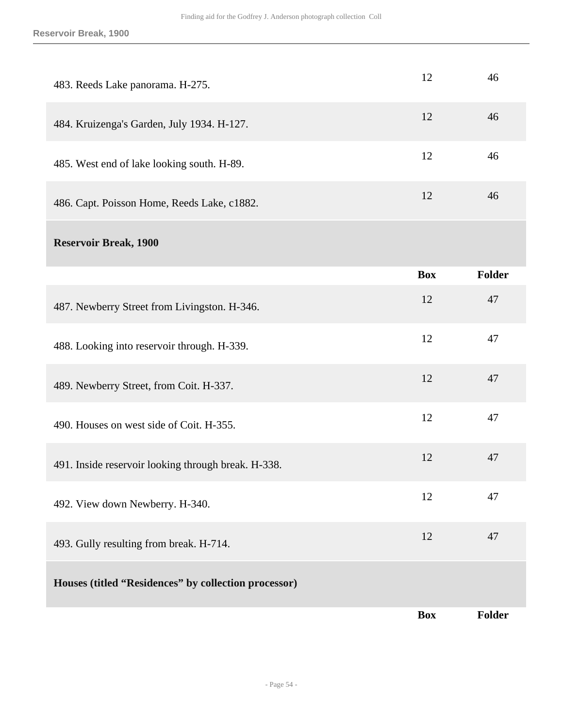| 483. Reeds Lake panorama. H-275.                     | 12         | 46            |
|------------------------------------------------------|------------|---------------|
| 484. Kruizenga's Garden, July 1934. H-127.           | 12         | 46            |
| 485. West end of lake looking south. H-89.           | 12         | 46            |
| 486. Capt. Poisson Home, Reeds Lake, c1882.          | 12         | 46            |
| <b>Reservoir Break, 1900</b>                         |            |               |
|                                                      | <b>Box</b> | <b>Folder</b> |
| 487. Newberry Street from Livingston. H-346.         | 12         | 47            |
| 488. Looking into reservoir through. H-339.          | 12         | 47            |
| 489. Newberry Street, from Coit. H-337.              | 12         | 47            |
| 490. Houses on west side of Coit. H-355.             | 12         | 47            |
| 491. Inside reservoir looking through break. H-338.  | 12         | 47            |
| 492. View down Newberry. H-340.                      | 12         | 47            |
| 493. Gully resulting from break. H-714.              | 12         | 47            |
| Houses (titled "Residences" by collection processor) |            |               |
|                                                      | <b>Box</b> | <b>Folder</b> |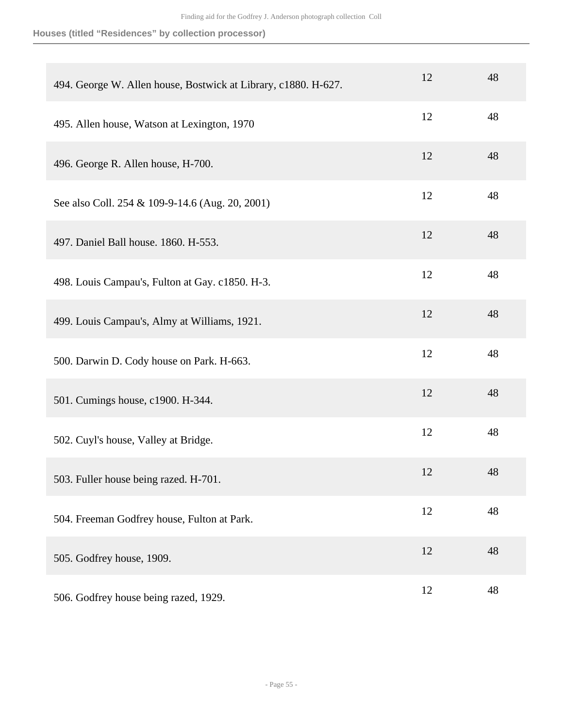**Houses (titled "Residences" by collection processor)**

| 494. George W. Allen house, Bostwick at Library, c1880. H-627. | 12 | 48 |
|----------------------------------------------------------------|----|----|
| 495. Allen house, Watson at Lexington, 1970                    | 12 | 48 |
| 496. George R. Allen house, H-700.                             | 12 | 48 |
| See also Coll. 254 & 109-9-14.6 (Aug. 20, 2001)                | 12 | 48 |
| 497. Daniel Ball house. 1860. H-553.                           | 12 | 48 |
| 498. Louis Campau's, Fulton at Gay. c1850. H-3.                | 12 | 48 |
| 499. Louis Campau's, Almy at Williams, 1921.                   | 12 | 48 |
| 500. Darwin D. Cody house on Park. H-663.                      | 12 | 48 |
| 501. Cumings house, c1900. H-344.                              | 12 | 48 |
| 502. Cuyl's house, Valley at Bridge.                           | 12 | 48 |
| 503. Fuller house being razed. H-701.                          | 12 | 48 |
| 504. Freeman Godfrey house, Fulton at Park.                    | 12 | 48 |
| 505. Godfrey house, 1909.                                      | 12 | 48 |
| 506. Godfrey house being razed, 1929.                          | 12 | 48 |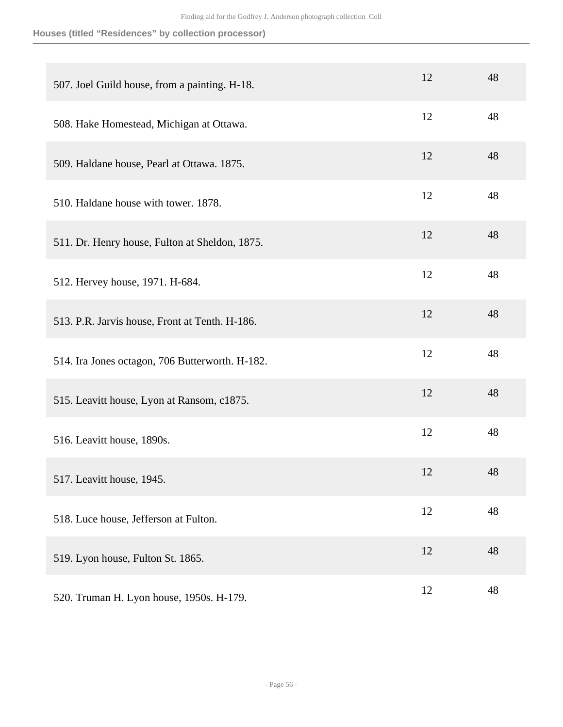**Houses (titled "Residences" by collection processor)**

| 507. Joel Guild house, from a painting. H-18.   | 12 | 48 |
|-------------------------------------------------|----|----|
| 508. Hake Homestead, Michigan at Ottawa.        | 12 | 48 |
| 509. Haldane house, Pearl at Ottawa. 1875.      | 12 | 48 |
| 510. Haldane house with tower. 1878.            | 12 | 48 |
| 511. Dr. Henry house, Fulton at Sheldon, 1875.  | 12 | 48 |
| 512. Hervey house, 1971. H-684.                 | 12 | 48 |
| 513. P.R. Jarvis house, Front at Tenth. H-186.  | 12 | 48 |
| 514. Ira Jones octagon, 706 Butterworth. H-182. | 12 | 48 |
| 515. Leavitt house, Lyon at Ransom, c1875.      | 12 | 48 |
| 516. Leavitt house, 1890s.                      | 12 | 48 |
| 517. Leavitt house, 1945.                       | 12 | 48 |
| 518. Luce house, Jefferson at Fulton.           | 12 | 48 |
| 519. Lyon house, Fulton St. 1865.               | 12 | 48 |
| 520. Truman H. Lyon house, 1950s. H-179.        | 12 | 48 |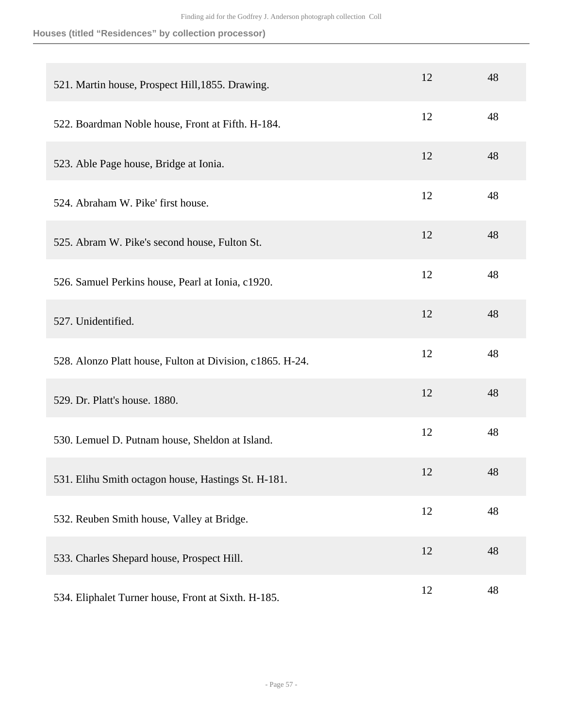**Houses (titled "Residences" by collection processor)**

| 521. Martin house, Prospect Hill, 1855. Drawing.          | 12 | 48 |
|-----------------------------------------------------------|----|----|
| 522. Boardman Noble house, Front at Fifth. H-184.         | 12 | 48 |
| 523. Able Page house, Bridge at Ionia.                    | 12 | 48 |
| 524. Abraham W. Pike' first house.                        | 12 | 48 |
| 525. Abram W. Pike's second house, Fulton St.             | 12 | 48 |
| 526. Samuel Perkins house, Pearl at Ionia, c1920.         | 12 | 48 |
| 527. Unidentified.                                        | 12 | 48 |
| 528. Alonzo Platt house, Fulton at Division, c1865. H-24. | 12 | 48 |
| 529. Dr. Platt's house. 1880.                             | 12 | 48 |
| 530. Lemuel D. Putnam house, Sheldon at Island.           | 12 | 48 |
| 531. Elihu Smith octagon house, Hastings St. H-181.       | 12 | 48 |
| 532. Reuben Smith house, Valley at Bridge.                | 12 | 48 |
| 533. Charles Shepard house, Prospect Hill.                | 12 | 48 |
| 534. Eliphalet Turner house, Front at Sixth. H-185.       | 12 | 48 |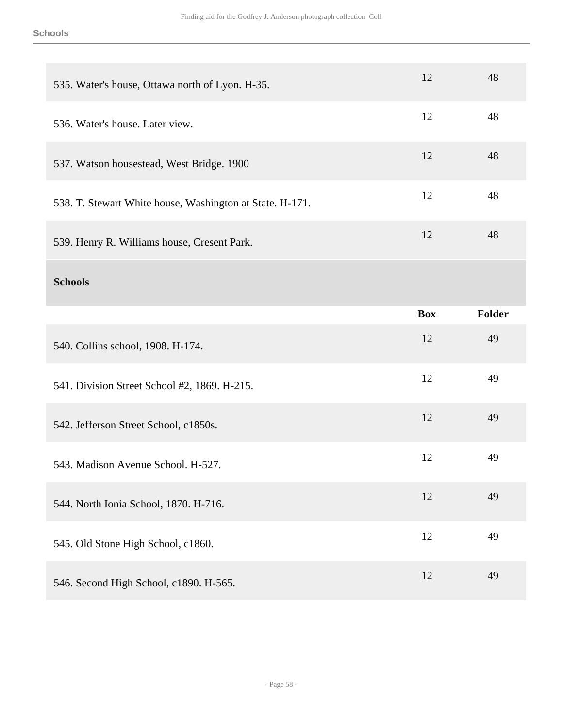| 535. Water's house, Ottawa north of Lyon. H-35.          | 12         | 48            |
|----------------------------------------------------------|------------|---------------|
| 536. Water's house. Later view.                          | 12         | 48            |
| 537. Watson housestead, West Bridge. 1900                | 12         | 48            |
| 538. T. Stewart White house, Washington at State. H-171. | 12         | 48            |
| 539. Henry R. Williams house, Cresent Park.              | 12         | 48            |
| <b>Schools</b>                                           |            |               |
|                                                          | <b>Box</b> | <b>Folder</b> |
|                                                          |            |               |
| 540. Collins school, 1908. H-174.                        | 12         | 49            |
| 541. Division Street School #2, 1869. H-215.             | 12         | 49            |
| 542. Jefferson Street School, c1850s.                    | 12         | 49            |
| 543. Madison Avenue School. H-527.                       | 12         | 49            |
| 544. North Ionia School, 1870. H-716.                    | 12         | 49            |
| 545. Old Stone High School, c1860.                       | 12         | 49            |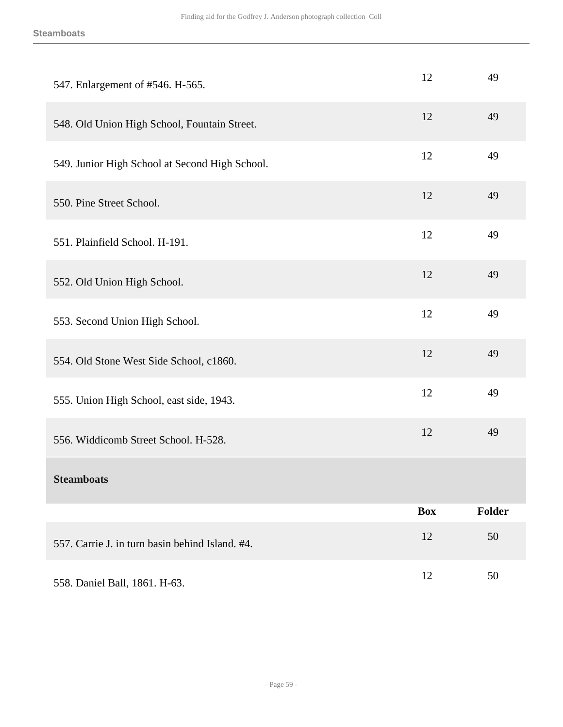| 547. Enlargement of #546. H-565.                | 12         | 49     |
|-------------------------------------------------|------------|--------|
| 548. Old Union High School, Fountain Street.    | 12         | 49     |
| 549. Junior High School at Second High School.  | 12         | 49     |
| 550. Pine Street School.                        | 12         | 49     |
| 551. Plainfield School. H-191.                  | 12         | 49     |
| 552. Old Union High School.                     | 12         | 49     |
| 553. Second Union High School.                  | 12         | 49     |
| 554. Old Stone West Side School, c1860.         | 12         | 49     |
| 555. Union High School, east side, 1943.        | 12         | 49     |
| 556. Widdicomb Street School. H-528.            | 12         | 49     |
| <b>Steamboats</b>                               |            |        |
|                                                 | <b>Box</b> | Folder |
| 557. Carrie J. in turn basin behind Island. #4. | 12         | 50     |
| 558. Daniel Ball, 1861. H-63.                   | 12         | 50     |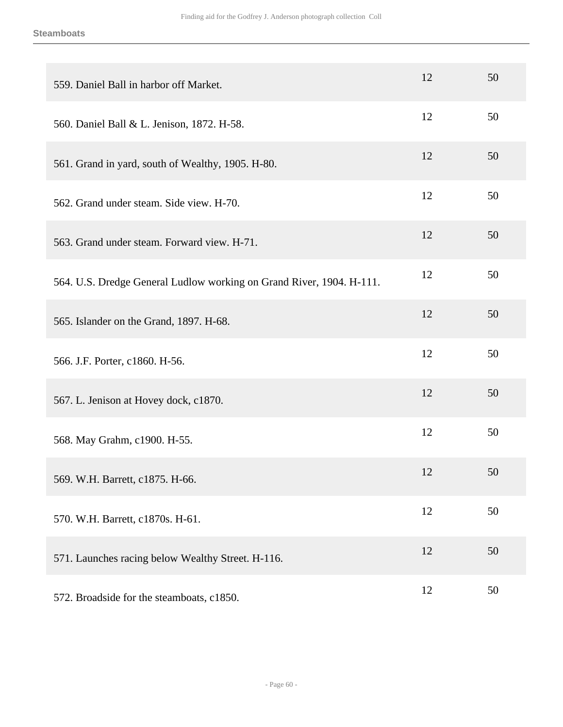| 559. Daniel Ball in harbor off Market.                               | 12 | 50 |
|----------------------------------------------------------------------|----|----|
| 560. Daniel Ball & L. Jenison, 1872. H-58.                           | 12 | 50 |
| 561. Grand in yard, south of Wealthy, 1905. H-80.                    | 12 | 50 |
| 562. Grand under steam. Side view. H-70.                             | 12 | 50 |
| 563. Grand under steam. Forward view. H-71.                          | 12 | 50 |
| 564. U.S. Dredge General Ludlow working on Grand River, 1904. H-111. | 12 | 50 |
| 565. Islander on the Grand, 1897. H-68.                              | 12 | 50 |
| 566. J.F. Porter, c1860. H-56.                                       | 12 | 50 |
| 567. L. Jenison at Hovey dock, c1870.                                | 12 | 50 |
| 568. May Grahm, c1900. H-55.                                         | 12 | 50 |
| 569. W.H. Barrett, c1875. H-66.                                      | 12 | 50 |
| 570. W.H. Barrett, c1870s. H-61.                                     | 12 | 50 |
| 571. Launches racing below Wealthy Street. H-116.                    | 12 | 50 |
| 572. Broadside for the steamboats, c1850.                            | 12 | 50 |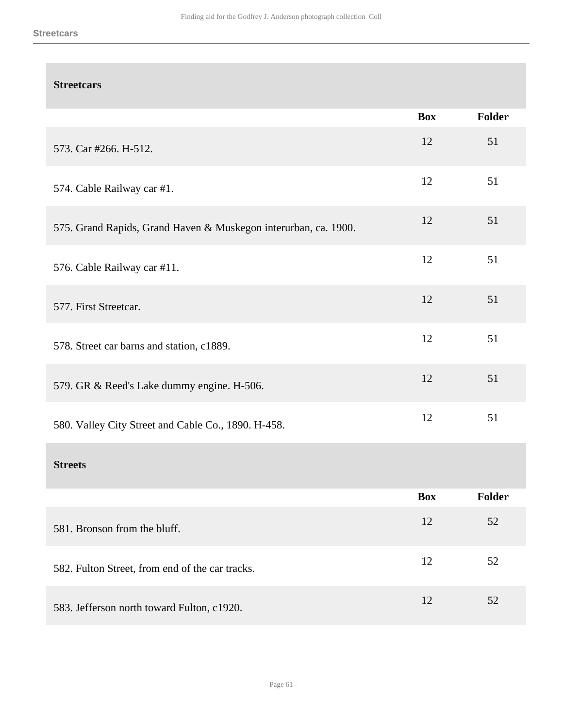## **Streetcars**

|                                                                 | <b>Box</b> | <b>Folder</b> |
|-----------------------------------------------------------------|------------|---------------|
| 573. Car #266. H-512.                                           | 12         | 51            |
| 574. Cable Railway car #1.                                      | 12         | 51            |
| 575. Grand Rapids, Grand Haven & Muskegon interurban, ca. 1900. | 12         | 51            |
| 576. Cable Railway car #11.                                     | 12         | 51            |
| 577. First Streetcar.                                           | 12         | 51            |
| 578. Street car barns and station, c1889.                       | 12         | 51            |
| 579. GR & Reed's Lake dummy engine. H-506.                      | 12         | 51            |
| 580. Valley City Street and Cable Co., 1890. H-458.             | 12         | 51            |
| <b>Streets</b>                                                  |            |               |
|                                                                 | <b>Box</b> | Folder        |
| 581. Bronson from the bluff.                                    | 12         | 52            |
| 582. Fulton Street, from end of the car tracks.                 | 12         | 52            |
| 583. Jefferson north toward Fulton, c1920.                      | 12         | 52            |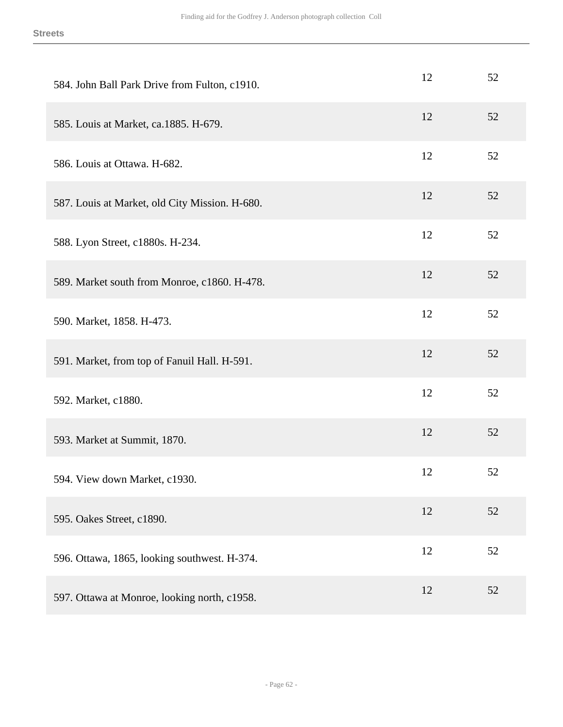| 584. John Ball Park Drive from Fulton, c1910.  | 12 | 52 |
|------------------------------------------------|----|----|
| 585. Louis at Market, ca.1885. H-679.          | 12 | 52 |
| 586. Louis at Ottawa. H-682.                   | 12 | 52 |
| 587. Louis at Market, old City Mission. H-680. | 12 | 52 |
| 588. Lyon Street, c1880s. H-234.               | 12 | 52 |
| 589. Market south from Monroe, c1860. H-478.   | 12 | 52 |
| 590. Market, 1858. H-473.                      | 12 | 52 |
| 591. Market, from top of Fanuil Hall. H-591.   | 12 | 52 |
| 592. Market, c1880.                            | 12 | 52 |
| 593. Market at Summit, 1870.                   | 12 | 52 |
| 594. View down Market, c1930.                  | 12 | 52 |
| 595. Oakes Street, c1890.                      | 12 | 52 |
| 596. Ottawa, 1865, looking southwest. H-374.   | 12 | 52 |
| 597. Ottawa at Monroe, looking north, c1958.   | 12 | 52 |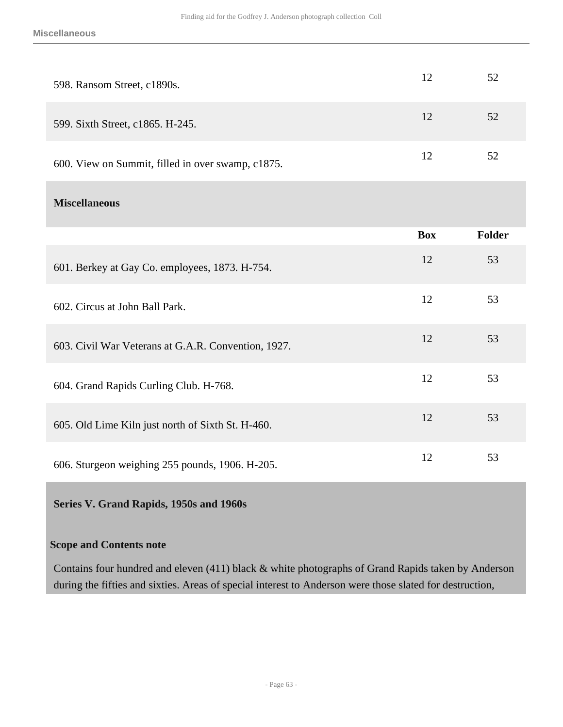|                                                   | <b>Box</b> | <b>Folder</b> |
|---------------------------------------------------|------------|---------------|
| <b>Miscellaneous</b>                              |            |               |
| 600. View on Summit, filled in over swamp, c1875. | 12         | 52            |
| 599. Sixth Street, c1865. H-245.                  | 12         | 52            |
| 598. Ransom Street, c1890s.                       | 12         | 52            |

| 601. Berkey at Gay Co. employees, 1873. H-754.      | 12 | 53 |
|-----------------------------------------------------|----|----|
| 602. Circus at John Ball Park.                      | 12 | 53 |
| 603. Civil War Veterans at G.A.R. Convention, 1927. | 12 | 53 |
| 604. Grand Rapids Curling Club. H-768.              | 12 | 53 |
| 605. Old Lime Kiln just north of Sixth St. H-460.   | 12 | 53 |
| 606. Sturgeon weighing 255 pounds, 1906. H-205.     | 12 | 53 |

#### <span id="page-62-0"></span>**Series V. Grand Rapids, 1950s and 1960s**

### **Scope and Contents note**

Contains four hundred and eleven (411) black & white photographs of Grand Rapids taken by Anderson during the fifties and sixties. Areas of special interest to Anderson were those slated for destruction,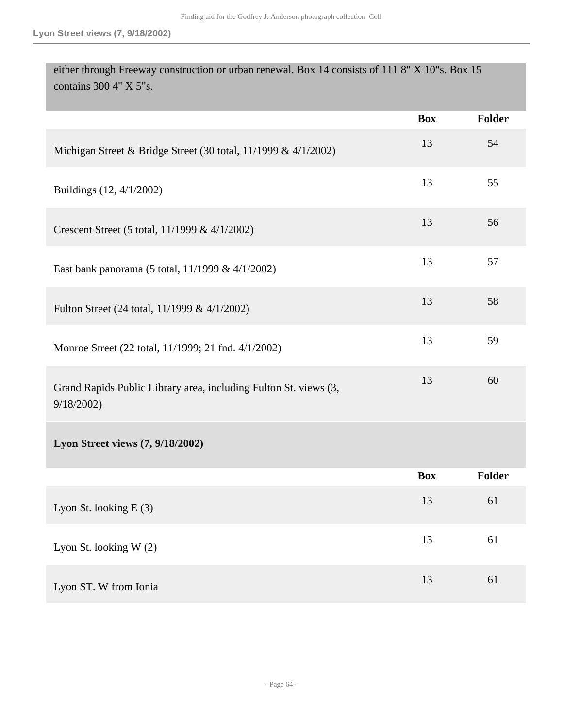| either through Freeway construction or urban renewal. Box 14 consists of 111 8" X 10"s. Box 15<br>contains 300 4" X 5"s. |            |               |
|--------------------------------------------------------------------------------------------------------------------------|------------|---------------|
|                                                                                                                          | <b>Box</b> | <b>Folder</b> |
| Michigan Street & Bridge Street (30 total, 11/1999 & 4/1/2002)                                                           | 13         | 54            |
| Buildings (12, 4/1/2002)                                                                                                 | 13         | 55            |
| Crescent Street (5 total, 11/1999 & 4/1/2002)                                                                            | 13         | 56            |
| East bank panorama (5 total, 11/1999 & 4/1/2002)                                                                         | 13         | 57            |
| Fulton Street (24 total, 11/1999 & 4/1/2002)                                                                             | 13         | 58            |
| Monroe Street (22 total, 11/1999; 21 fnd. 4/1/2002)                                                                      | 13         | 59            |
| Grand Rapids Public Library area, including Fulton St. views (3,<br>9/18/2002                                            | 13         | 60            |
| Lyon Street views (7, 9/18/2002)                                                                                         |            |               |
|                                                                                                                          | Box        | <b>Folder</b> |
| Lyon St. looking E (3)                                                                                                   | 13         | 61            |
| Lyon St. looking W (2)                                                                                                   | 13         | 61            |
| Lyon ST. W from Ionia                                                                                                    | 13         | 61            |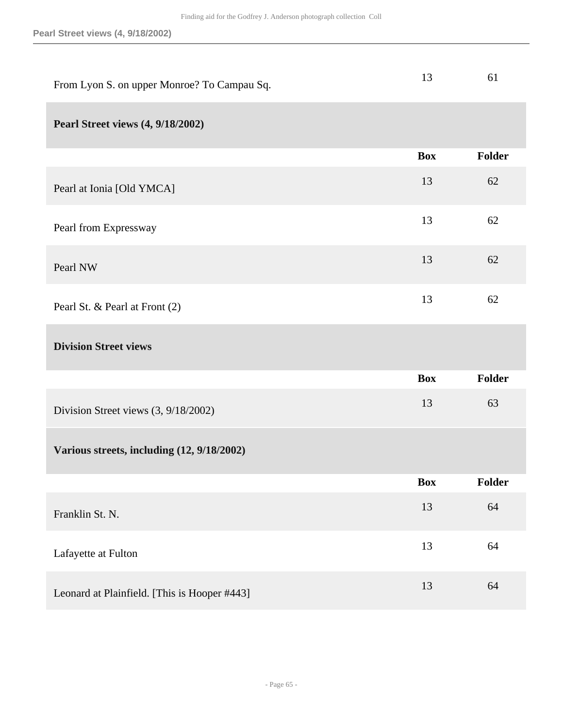| From Lyon S. on upper Monroe? To Campau Sq. | 13         | 61            |
|---------------------------------------------|------------|---------------|
| <b>Pearl Street views (4, 9/18/2002)</b>    |            |               |
|                                             | <b>Box</b> | Folder        |
| Pearl at Ionia [Old YMCA]                   | 13         | 62            |
| Pearl from Expressway                       | 13         | 62            |
| Pearl NW                                    | 13         | 62            |
| Pearl St. & Pearl at Front (2)              | 13         | 62            |
| <b>Division Street views</b>                |            |               |
|                                             | <b>Box</b> | <b>Folder</b> |
| Division Street views (3, 9/18/2002)        | 13         | 63            |
| Various streets, including (12, 9/18/2002)  |            |               |
|                                             |            |               |
|                                             | <b>Box</b> | <b>Folder</b> |
| Franklin St. N.                             | 13         | 64            |
| Lafayette at Fulton                         | 13         | 64            |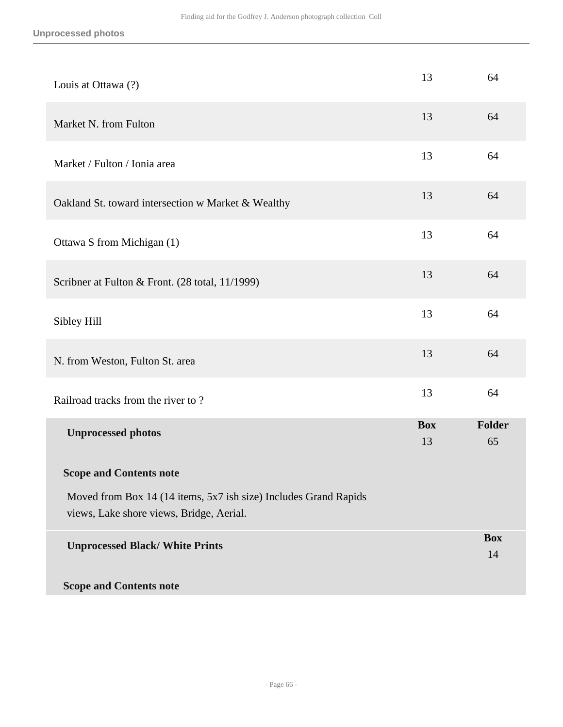| Louis at Ottawa (?)                                                                                          | 13               | 64               |
|--------------------------------------------------------------------------------------------------------------|------------------|------------------|
| Market N. from Fulton                                                                                        |                  |                  |
| Market / Fulton / Ionia area                                                                                 | 13               | 64               |
| Oakland St. toward intersection w Market & Wealthy                                                           | 13               | 64               |
| Ottawa S from Michigan (1)                                                                                   | 13               | 64               |
| Scribner at Fulton & Front. (28 total, 11/1999)                                                              | 13               | 64               |
| Sibley Hill                                                                                                  | 13               | 64               |
| N. from Weston, Fulton St. area                                                                              | 13               | 64               |
| Railroad tracks from the river to?                                                                           | 13               | 64               |
| <b>Unprocessed photos</b>                                                                                    | <b>Box</b><br>13 | Folder<br>65     |
| <b>Scope and Contents note</b>                                                                               |                  |                  |
| Moved from Box 14 (14 items, 5x7 ish size) Includes Grand Rapids<br>views, Lake shore views, Bridge, Aerial. |                  |                  |
| <b>Unprocessed Black/ White Prints</b>                                                                       |                  | <b>Box</b><br>14 |
| <b>Scope and Contents note</b>                                                                               |                  |                  |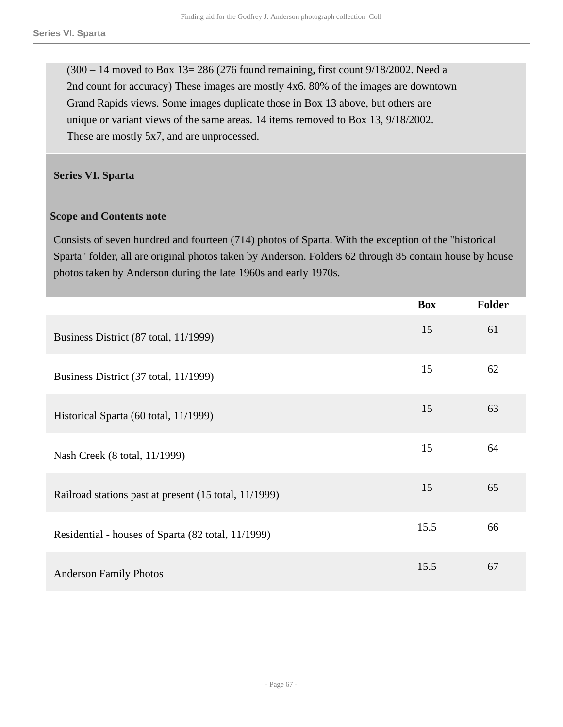$(300 - 14$  moved to Box 13= 286 (276 found remaining, first count 9/18/2002. Need a 2nd count for accuracy) These images are mostly 4x6. 80% of the images are downtown Grand Rapids views. Some images duplicate those in Box 13 above, but others are unique or variant views of the same areas. 14 items removed to Box 13, 9/18/2002. These are mostly 5x7, and are unprocessed.

#### <span id="page-66-0"></span>**Series VI. Sparta**

#### **Scope and Contents note**

Consists of seven hundred and fourteen (714) photos of Sparta. With the exception of the "historical Sparta" folder, all are original photos taken by Anderson. Folders 62 through 85 contain house by house photos taken by Anderson during the late 1960s and early 1970s.

|                                                       | <b>Box</b> | <b>Folder</b> |
|-------------------------------------------------------|------------|---------------|
| Business District (87 total, 11/1999)                 | 15         | 61            |
| Business District (37 total, 11/1999)                 | 15         | 62            |
| Historical Sparta (60 total, 11/1999)                 | 15         | 63            |
| Nash Creek (8 total, 11/1999)                         | 15         | 64            |
| Railroad stations past at present (15 total, 11/1999) | 15         | 65            |
| Residential - houses of Sparta (82 total, 11/1999)    | 15.5       | 66            |
| <b>Anderson Family Photos</b>                         | 15.5       | 67            |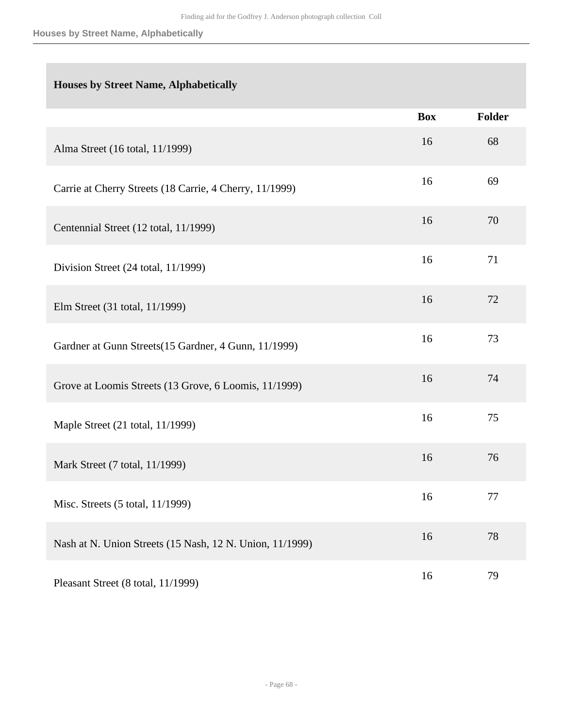#### **Houses by Street Name, Alphabetically**

## **Houses by Street Name, Alphabetically**

|                                                          | <b>Box</b> | <b>Folder</b> |
|----------------------------------------------------------|------------|---------------|
| Alma Street (16 total, 11/1999)                          | 16         | 68            |
| Carrie at Cherry Streets (18 Carrie, 4 Cherry, 11/1999)  | 16         | 69            |
| Centennial Street (12 total, 11/1999)                    | 16         | 70            |
| Division Street (24 total, 11/1999)                      | 16         | 71            |
| Elm Street (31 total, 11/1999)                           | 16         | 72            |
| Gardner at Gunn Streets (15 Gardner, 4 Gunn, 11/1999)    | 16         | 73            |
| Grove at Loomis Streets (13 Grove, 6 Loomis, 11/1999)    | 16         | 74            |
| Maple Street (21 total, 11/1999)                         | 16         | 75            |
| Mark Street (7 total, 11/1999)                           | 16         | 76            |
| Misc. Streets (5 total, 11/1999)                         | 16         | 77            |
| Nash at N. Union Streets (15 Nash, 12 N. Union, 11/1999) | 16         | 78            |
| Pleasant Street (8 total, 11/1999)                       | 16         | 79            |